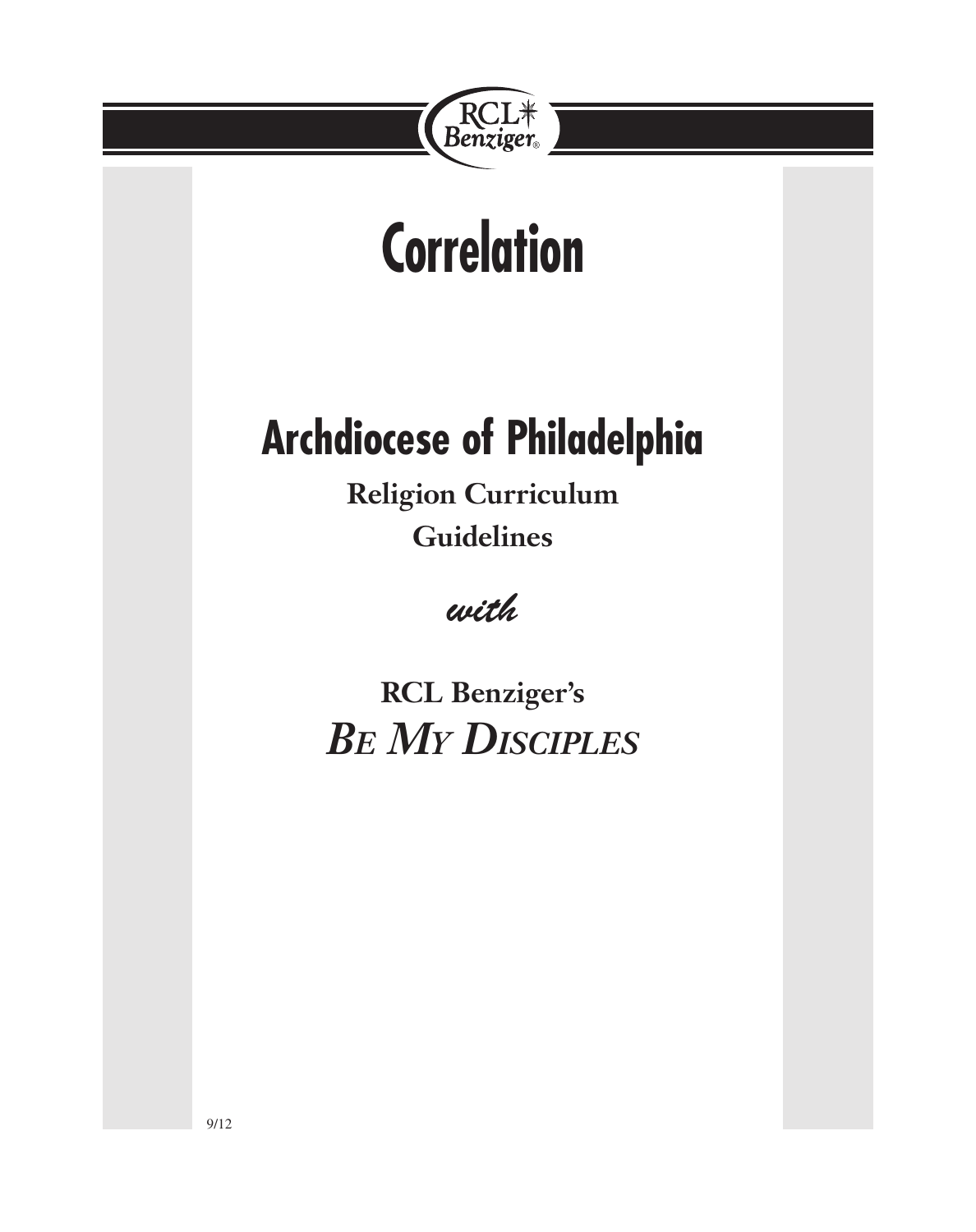

# **Correlation**

# **Archdiocese of Philadelphia**

**Religion Curriculum Guidelines**

*with*

**RCL Benziger's** *Be My Disciples*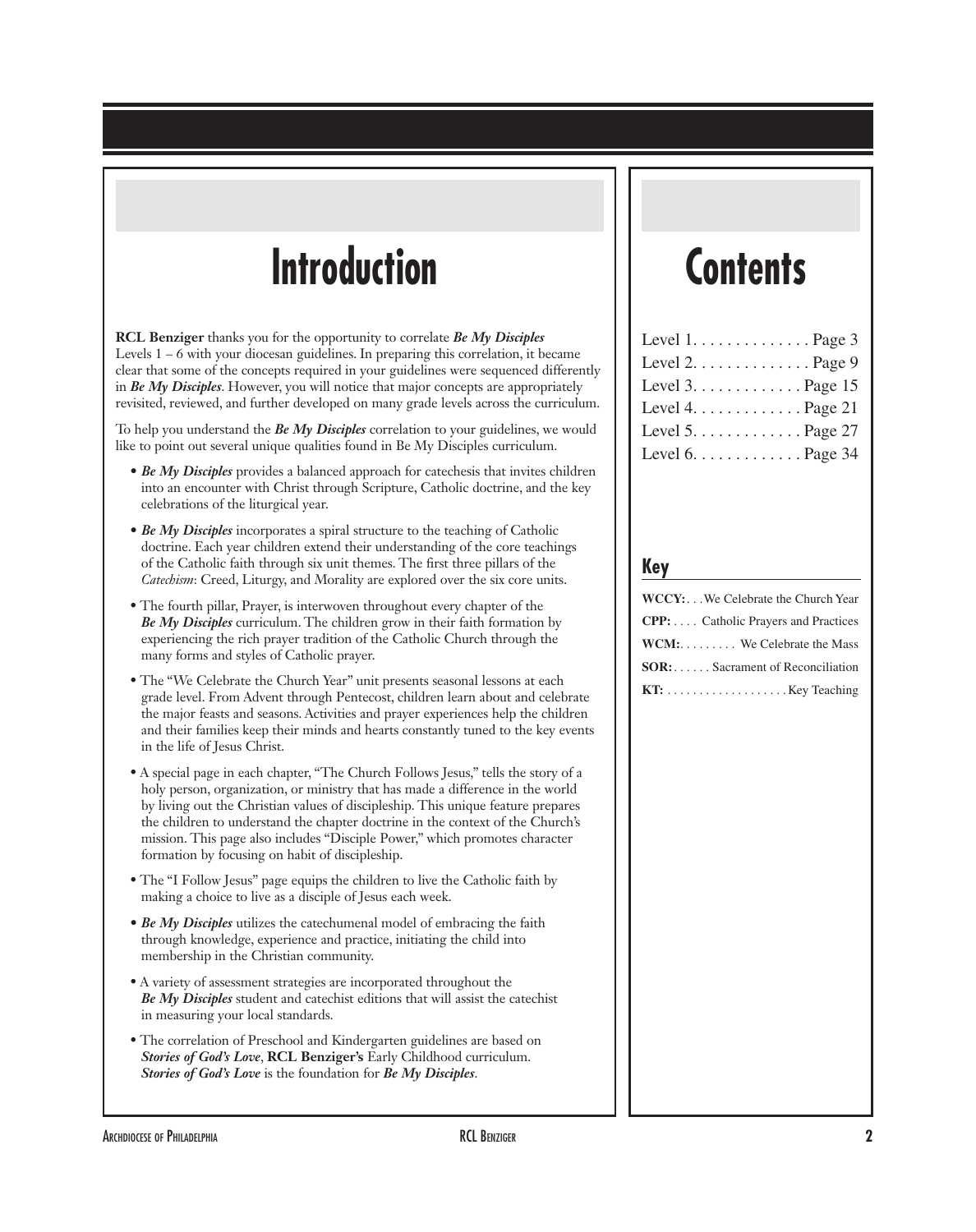# **Introduction**

**RCL Benziger** thanks you for the opportunity to correlate *Be My Disciples* Levels  $1 - 6$  with your diocesan guidelines. In preparing this correlation, it became clear that some of the concepts required in your guidelines were sequenced differently in *Be My Disciples*. However, you will notice that major concepts are appropriately revisited, reviewed, and further developed on many grade levels across the curriculum.

To help you understand the *Be My Disciples* correlation to your guidelines, we would like to point out several unique qualities found in Be My Disciples curriculum.

- *Be My Disciples* provides a balanced approach for catechesis that invites children into an encounter with Christ through Scripture, Catholic doctrine, and the key celebrations of the liturgical year.
- *Be My Disciples* incorporates a spiral structure to the teaching of Catholic doctrine. Each year children extend their understanding of the core teachings of the Catholic faith through six unit themes. The first three pillars of the *Catechism*: Creed, Liturgy, and Morality are explored over the six core units.
- The fourth pillar, Prayer, is interwoven throughout every chapter of the *Be My Disciples* curriculum. The children grow in their faith formation by experiencing the rich prayer tradition of the Catholic Church through the many forms and styles of Catholic prayer.
- The "We Celebrate the Church Year" unit presents seasonal lessons at each grade level. From Advent through Pentecost, children learn about and celebrate the major feasts and seasons. Activities and prayer experiences help the children and their families keep their minds and hearts constantly tuned to the key events in the life of Jesus Christ.
- A special page in each chapter, "The Church Follows Jesus," tells the story of a holy person, organization, or ministry that has made a difference in the world by living out the Christian values of discipleship. This unique feature prepares the children to understand the chapter doctrine in the context of the Church's mission. This page also includes "Disciple Power," which promotes character formation by focusing on habit of discipleship.
- The "I Follow Jesus" page equips the children to live the Catholic faith by making a choice to live as a disciple of Jesus each week.
- *Be My Disciples* utilizes the catechumenal model of embracing the faith through knowledge, experience and practice, initiating the child into membership in the Christian community.
- A variety of assessment strategies are incorporated throughout the *Be My Disciples* student and catechist editions that will assist the catechist in measuring your local standards.
- The correlation of Preschool and Kindergarten guidelines are based on *Stories of God's Love*, **RCL Benziger's** Early Childhood curriculum. *Stories of God's Love* is the foundation for *Be My Disciples*.

# **Contents**

| Level $1, \ldots, \ldots, \ldots$ . Page 3      |
|-------------------------------------------------|
| Level $2. \ldots \ldots \ldots \ldots$ . Page 9 |
|                                                 |
| Level $4. \ldots \ldots \ldots$ . Page 21       |
| Level $5. \ldots \ldots \ldots$ . Page 27       |
| Level $6. \ldots \ldots \ldots$ . Page 34       |

#### **Key**

| WCCY: We Celebrate the Church Year          |
|---------------------------------------------|
| <b>CPP:</b> Catholic Prayers and Practices  |
| <b>WCM:</b> We Celebrate the Mass           |
| $SOR: \ldots$ . Sacrament of Reconciliation |
| <b>KT:</b> Key Teaching                     |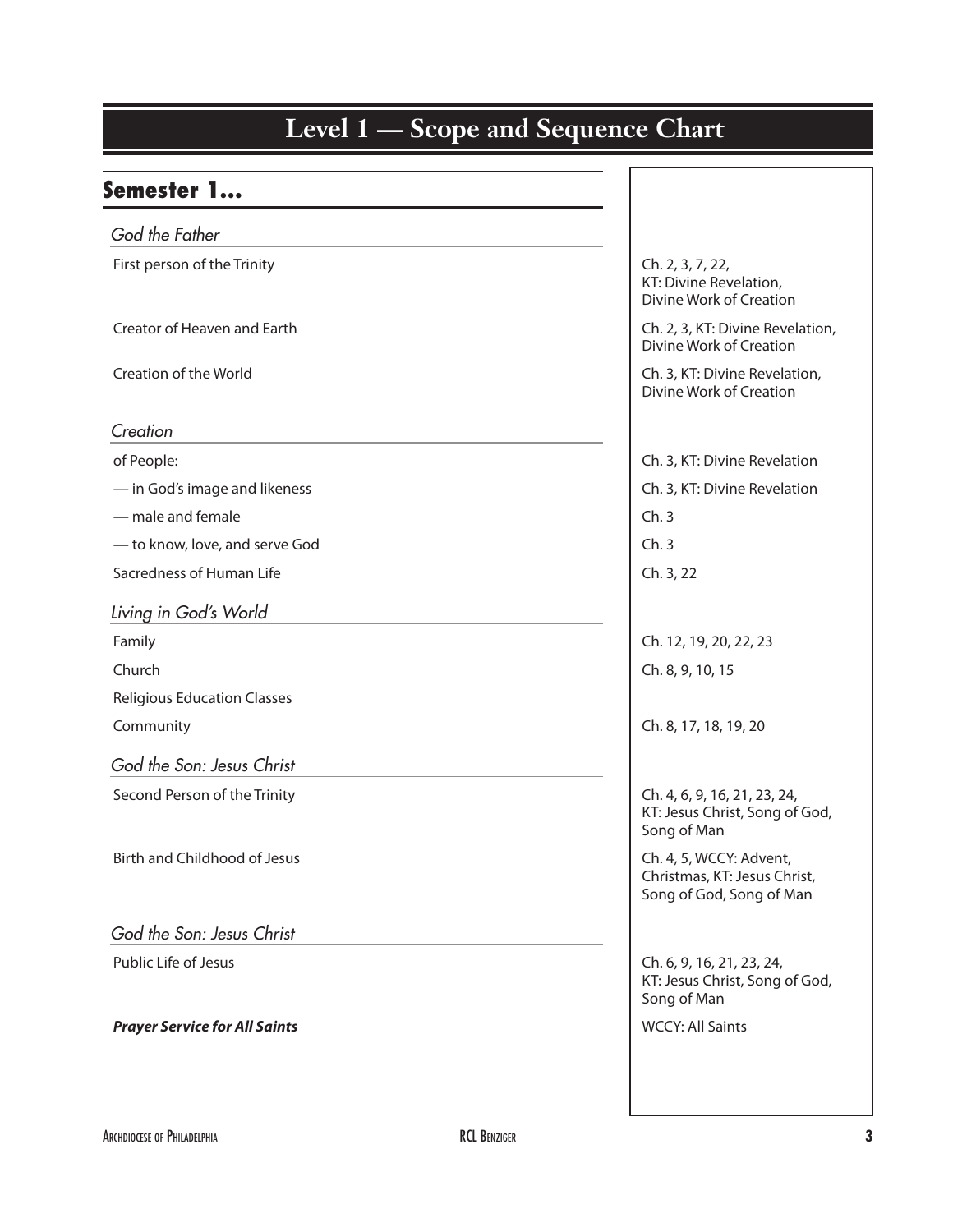| Semester 1                           |                                                                                     |
|--------------------------------------|-------------------------------------------------------------------------------------|
| God the Father                       |                                                                                     |
| First person of the Trinity          | Ch. 2, 3, 7, 22,<br>KT: Divine Revelation,<br>Divine Work of Creation               |
| Creator of Heaven and Earth          | Ch. 2, 3, KT: Divine Revelation,<br>Divine Work of Creation                         |
| Creation of the World                | Ch. 3, KT: Divine Revelation,<br>Divine Work of Creation                            |
| Creation                             |                                                                                     |
| of People:                           | Ch. 3, KT: Divine Revelation                                                        |
| - in God's image and likeness        | Ch. 3, KT: Divine Revelation                                                        |
| - male and female                    | Ch.3                                                                                |
| - to know, love, and serve God       | Ch.3                                                                                |
| Sacredness of Human Life             | Ch. 3, 22                                                                           |
| Living in God's World                |                                                                                     |
| Family                               | Ch. 12, 19, 20, 22, 23                                                              |
| Church                               | Ch. 8, 9, 10, 15                                                                    |
| <b>Religious Education Classes</b>   |                                                                                     |
| Community                            | Ch. 8, 17, 18, 19, 20                                                               |
| God the Son: Jesus Christ            |                                                                                     |
| Second Person of the Trinity         | Ch. 4, 6, 9, 16, 21, 23, 24,<br>KT: Jesus Christ, Song of God,<br>Song of Man       |
| <b>Birth and Childhood of Jesus</b>  | Ch. 4, 5, WCCY: Advent,<br>Christmas, KT: Jesus Christ,<br>Song of God, Song of Man |
| God the Son: Jesus Christ            |                                                                                     |
| Public Life of Jesus                 | Ch. 6, 9, 16, 21, 23, 24,<br>KT: Jesus Christ, Song of God,<br>Song of Man          |
| <b>Prayer Service for All Saints</b> | <b>WCCY: All Saints</b>                                                             |
|                                      |                                                                                     |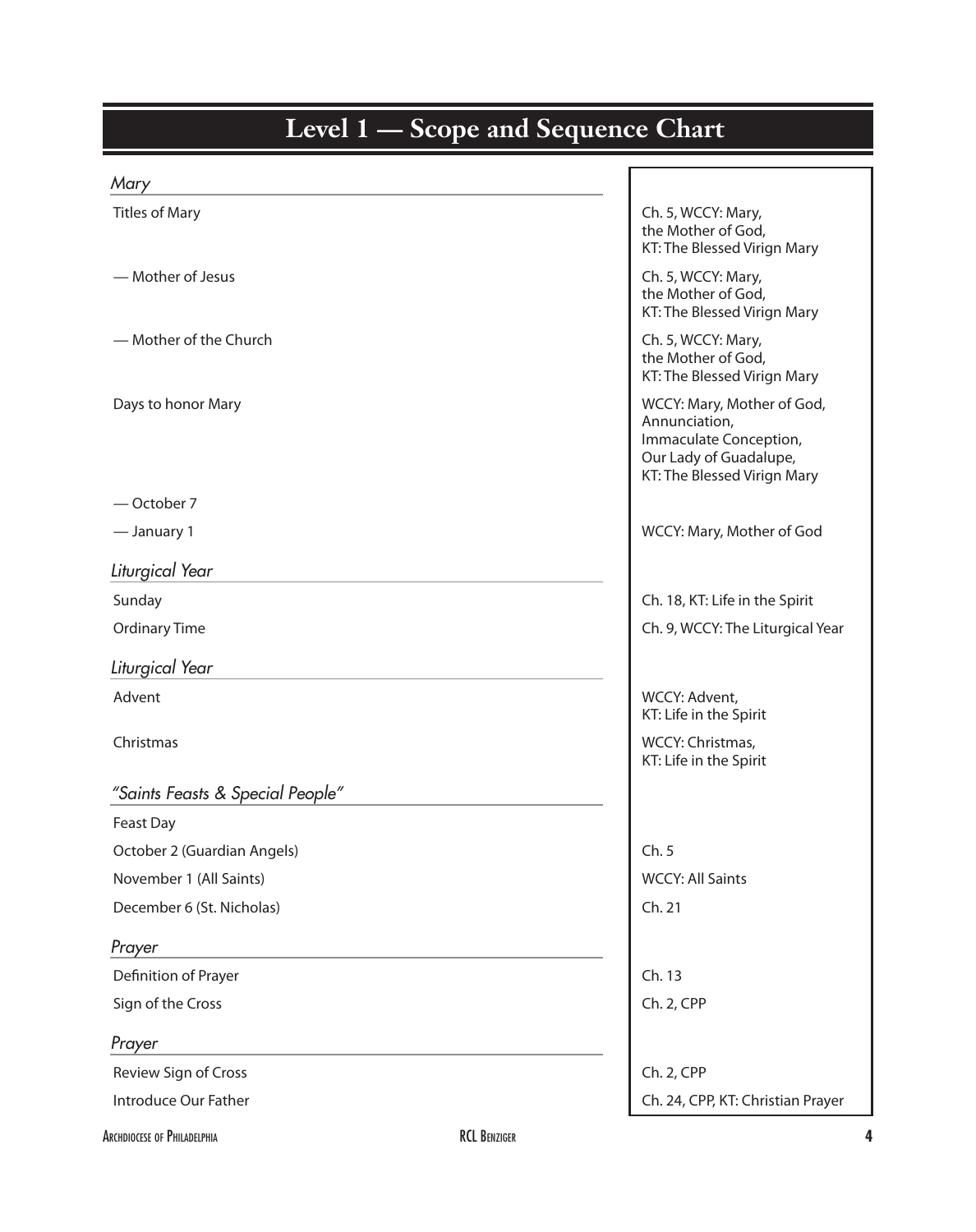| Level 1 – Scope and Sequence Chart |                                                                                                                                |  |
|------------------------------------|--------------------------------------------------------------------------------------------------------------------------------|--|
| Mary                               |                                                                                                                                |  |
| <b>Titles of Mary</b>              | Ch. 5, WCCY: Mary,<br>the Mother of God,<br>KT: The Blessed Virign Mary                                                        |  |
| - Mother of Jesus                  | Ch. 5, WCCY: Mary,<br>the Mother of God,<br>KT: The Blessed Virign Mary                                                        |  |
| - Mother of the Church             | Ch. 5, WCCY: Mary,<br>the Mother of God,<br>KT: The Blessed Virign Mary                                                        |  |
| Days to honor Mary                 | WCCY: Mary, Mother of God,<br>Annunciation,<br>Immaculate Conception,<br>Our Lady of Guadalupe,<br>KT: The Blessed Virign Mary |  |
| -October 7                         |                                                                                                                                |  |
| - January 1                        | WCCY: Mary, Mother of God                                                                                                      |  |
| Liturgical Year                    |                                                                                                                                |  |
| Sunday                             | Ch. 18, KT: Life in the Spirit                                                                                                 |  |
| <b>Ordinary Time</b>               | Ch. 9, WCCY: The Liturgical Year                                                                                               |  |
| Liturgical Year                    |                                                                                                                                |  |
| Advent                             | WCCY: Advent,                                                                                                                  |  |
| Christmas                          | KT: Life in the Spirit<br>WCCY: Christmas,<br>KT: Life in the Spirit                                                           |  |
| "Saints Feasts & Special People"   |                                                                                                                                |  |
| Feast Day                          |                                                                                                                                |  |
| October 2 (Guardian Angels)        | Ch.5                                                                                                                           |  |
| November 1 (All Saints)            | <b>WCCY: All Saints</b>                                                                                                        |  |
| December 6 (St. Nicholas)          | Ch. 21                                                                                                                         |  |
| Prayer                             |                                                                                                                                |  |
| Definition of Prayer               | Ch. 13                                                                                                                         |  |
| Sign of the Cross                  | Ch. 2, CPP                                                                                                                     |  |
| Prayer                             |                                                                                                                                |  |
| Review Sign of Cross               | Ch. 2, CPP                                                                                                                     |  |
| Introduce Our Father               | Ch. 24, CPP, KT: Christian Prayer                                                                                              |  |

#### Archdiocese of Philadelphia RCL Benziger **4**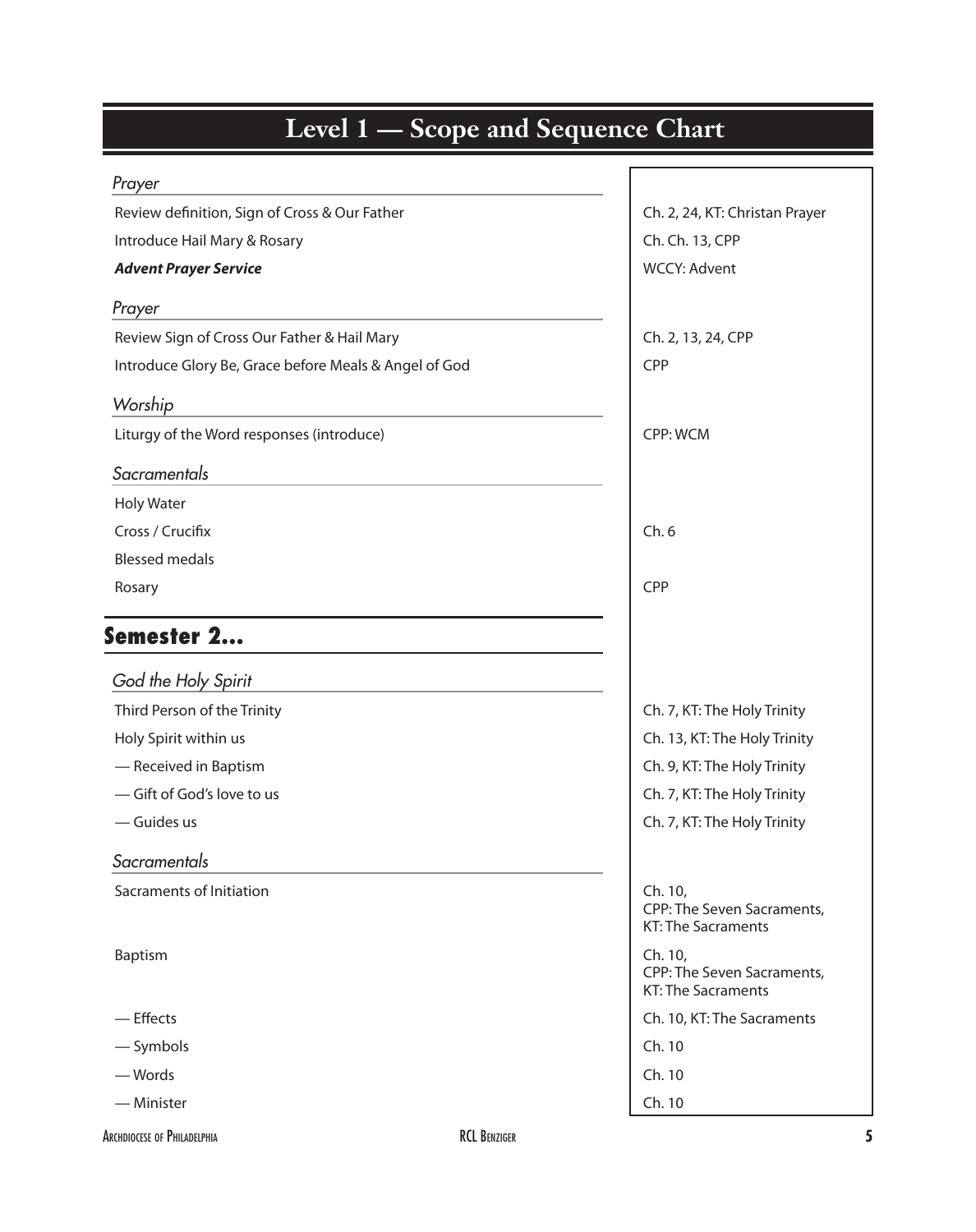| <b>Level 1 – Scope and Sequence Chart</b>             |                                                                    |
|-------------------------------------------------------|--------------------------------------------------------------------|
| Prayer                                                |                                                                    |
| Review definition, Sign of Cross & Our Father         | Ch. 2, 24, KT: Christan Prayer                                     |
| Introduce Hail Mary & Rosary                          | Ch. Ch. 13, CPP                                                    |
| <b>Advent Prayer Service</b>                          | <b>WCCY: Advent</b>                                                |
| Prayer                                                |                                                                    |
| Review Sign of Cross Our Father & Hail Mary           | Ch. 2, 13, 24, CPP                                                 |
| Introduce Glory Be, Grace before Meals & Angel of God | <b>CPP</b>                                                         |
| Worship                                               |                                                                    |
| Liturgy of the Word responses (introduce)             | CPP: WCM                                                           |
| Sacramentals                                          |                                                                    |
| <b>Holy Water</b>                                     |                                                                    |
| Cross / Crucifix                                      | Ch.6                                                               |
| <b>Blessed medals</b>                                 |                                                                    |
| Rosary                                                | CPP                                                                |
| Semester 2                                            |                                                                    |
| God the Holy Spirit                                   |                                                                    |
| Third Person of the Trinity                           | Ch. 7, KT: The Holy Trinity                                        |
| Holy Spirit within us                                 | Ch. 13, KT: The Holy Trinity                                       |
| - Received in Baptism                                 | Ch. 9, KT: The Holy Trinity                                        |
| -Gift of God's love to us                             | Ch. 7, KT: The Holy Trinity                                        |
| - Guides us                                           | Ch. 7, KT: The Holy Trinity                                        |
| Sacramentals                                          |                                                                    |
| Sacraments of Initiation                              | Ch. 10,<br>CPP: The Seven Sacraments,<br><b>KT: The Sacraments</b> |
| Baptism                                               | Ch. 10,<br>CPP: The Seven Sacraments,<br><b>KT: The Sacraments</b> |
| $-$ Effects                                           | Ch. 10, KT: The Sacraments                                         |
| - Symbols                                             | Ch. 10                                                             |
| — Words                                               | Ch. 10                                                             |
| — Minister                                            | Ch. 10                                                             |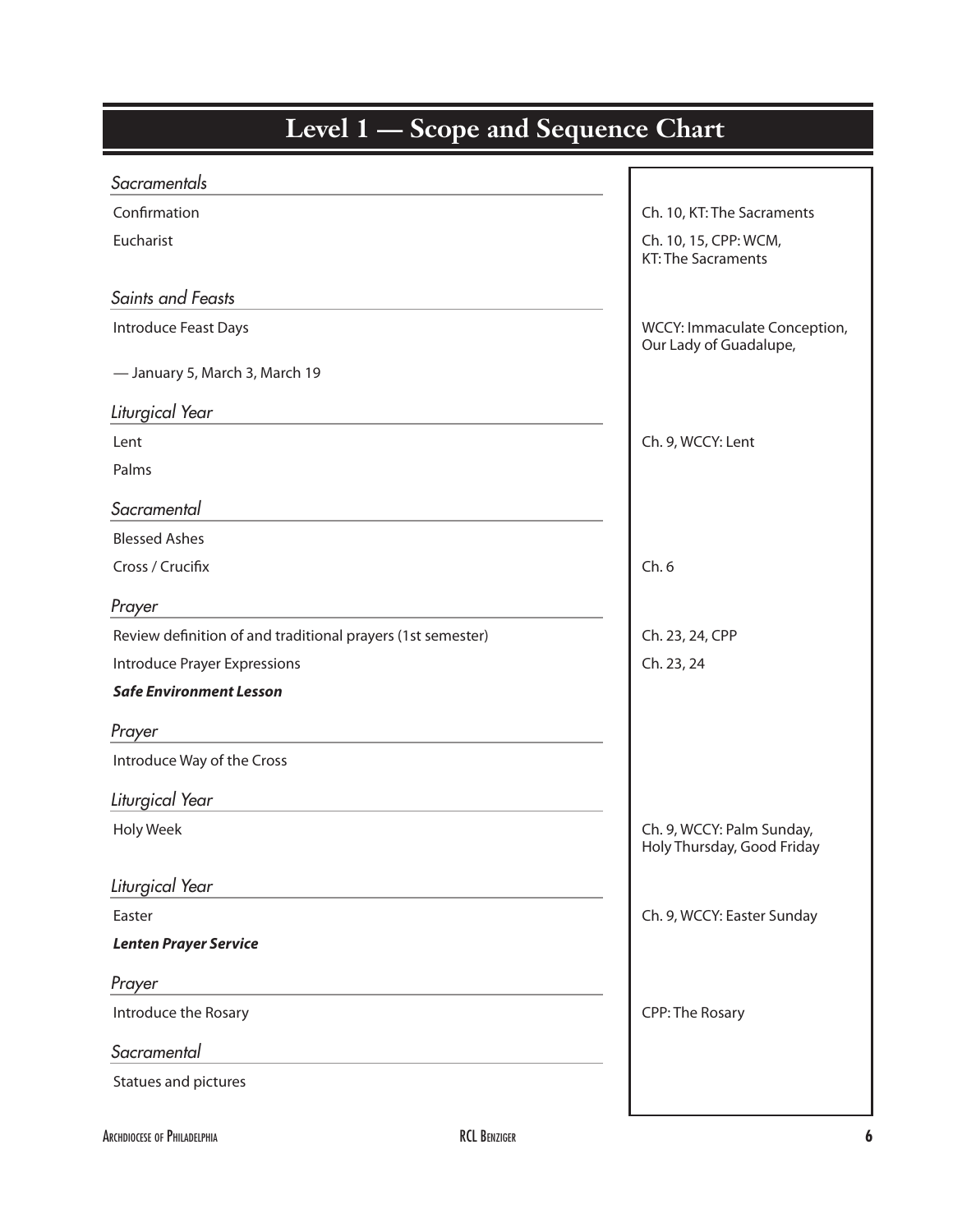| <b>Level 1</b> — Scope and Sequence Chart                   |                                                         |  |
|-------------------------------------------------------------|---------------------------------------------------------|--|
| Sacramentals                                                |                                                         |  |
| Confirmation                                                | Ch. 10, KT: The Sacraments                              |  |
| Eucharist                                                   | Ch. 10, 15, CPP: WCM,<br><b>KT: The Sacraments</b>      |  |
| Saints and Feasts                                           |                                                         |  |
| Introduce Feast Days                                        | WCCY: Immaculate Conception,<br>Our Lady of Guadalupe,  |  |
| - January 5, March 3, March 19                              |                                                         |  |
| Liturgical Year                                             |                                                         |  |
| Lent                                                        | Ch. 9, WCCY: Lent                                       |  |
| Palms                                                       |                                                         |  |
| Sacramental                                                 |                                                         |  |
| <b>Blessed Ashes</b>                                        |                                                         |  |
| Cross / Crucifix                                            | Ch.6                                                    |  |
| Prayer                                                      |                                                         |  |
| Review definition of and traditional prayers (1st semester) | Ch. 23, 24, CPP                                         |  |
| <b>Introduce Prayer Expressions</b>                         | Ch. 23, 24                                              |  |
| <b>Safe Environment Lesson</b>                              |                                                         |  |
| Prayer                                                      |                                                         |  |
| Introduce Way of the Cross                                  |                                                         |  |
| Liturgical Year                                             |                                                         |  |
| <b>Holy Week</b>                                            | Ch. 9, WCCY: Palm Sunday,<br>Holy Thursday, Good Friday |  |
| Liturgical Year                                             |                                                         |  |
| Easter                                                      | Ch. 9, WCCY: Easter Sunday                              |  |
| <b>Lenten Prayer Service</b>                                |                                                         |  |
| Prayer                                                      |                                                         |  |
| Introduce the Rosary                                        | CPP: The Rosary                                         |  |
| Sacramental                                                 |                                                         |  |
| Statues and pictures                                        |                                                         |  |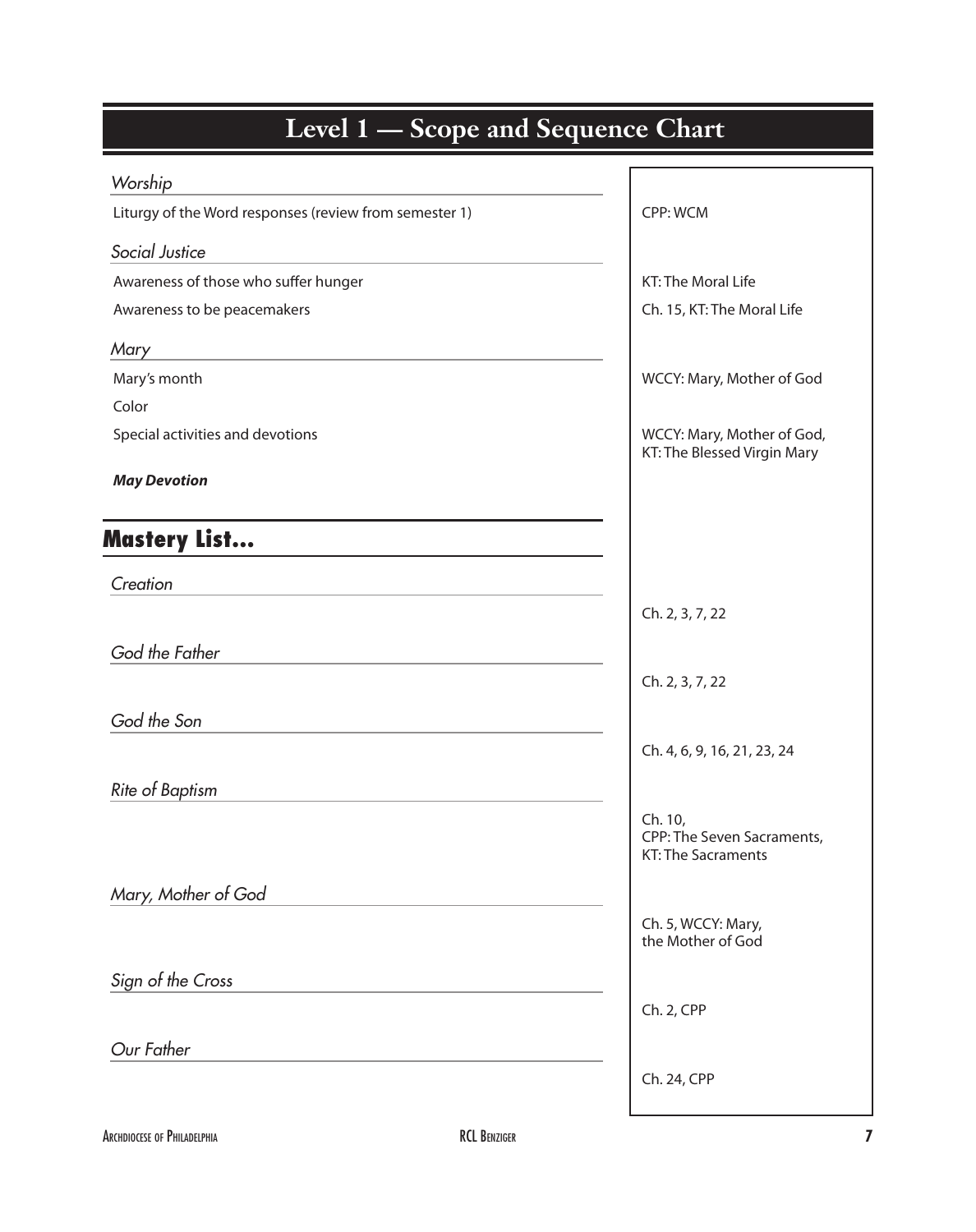| Worship                                                |                                                                    |
|--------------------------------------------------------|--------------------------------------------------------------------|
| Liturgy of the Word responses (review from semester 1) | CPP: WCM                                                           |
| Social Justice                                         |                                                                    |
| Awareness of those who suffer hunger                   | KT: The Moral Life                                                 |
| Awareness to be peacemakers                            | Ch. 15, KT: The Moral Life                                         |
| Mary                                                   |                                                                    |
| Mary's month                                           | WCCY: Mary, Mother of God                                          |
| Color                                                  |                                                                    |
| Special activities and devotions                       | WCCY: Mary, Mother of God,<br>KT: The Blessed Virgin Mary          |
| <b>May Devotion</b>                                    |                                                                    |
| <b>Mastery List</b>                                    |                                                                    |
| Creation                                               |                                                                    |
|                                                        | Ch. 2, 3, 7, 22                                                    |
| God the Father                                         |                                                                    |
|                                                        | Ch. 2, 3, 7, 22                                                    |
| God the Son                                            |                                                                    |
|                                                        | Ch. 4, 6, 9, 16, 21, 23, 24                                        |
| <b>Rite of Baptism</b>                                 |                                                                    |
|                                                        | Ch. 10,<br>CPP: The Seven Sacraments,<br><b>KT: The Sacraments</b> |
| Mary, Mother of God                                    |                                                                    |
|                                                        | Ch. 5, WCCY: Mary,<br>the Mother of God                            |
| Sign of the Cross                                      |                                                                    |
|                                                        | Ch. 2, CPP                                                         |
| Our Father                                             |                                                                    |
|                                                        | Ch. 24, CPP                                                        |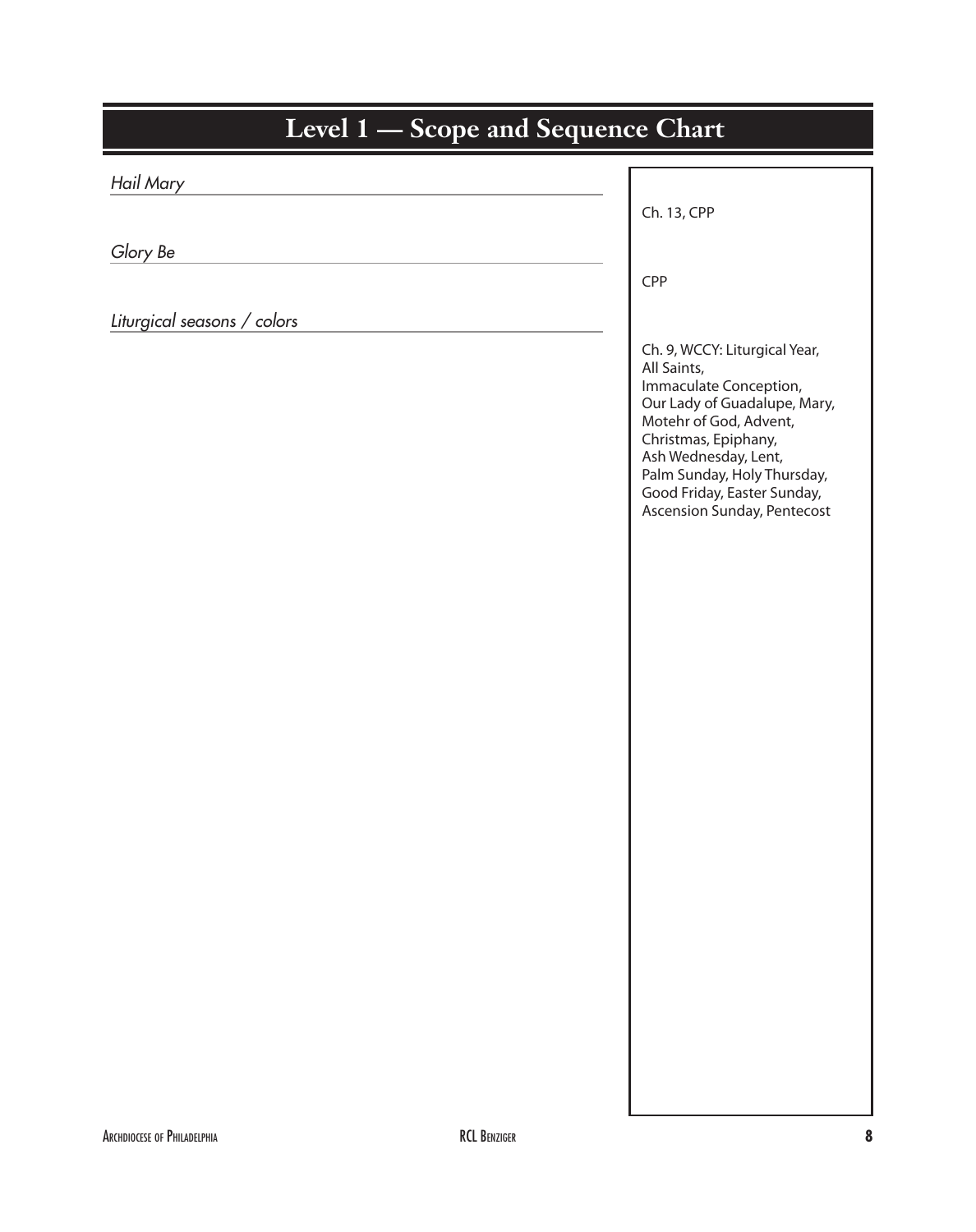| Level 1 - Scope and Sequence Chart |                                                                                                                                                                                                                                                                               |  |
|------------------------------------|-------------------------------------------------------------------------------------------------------------------------------------------------------------------------------------------------------------------------------------------------------------------------------|--|
| Hail Mary                          |                                                                                                                                                                                                                                                                               |  |
|                                    | Ch. 13, CPP                                                                                                                                                                                                                                                                   |  |
| Glory Be                           |                                                                                                                                                                                                                                                                               |  |
|                                    | CPP                                                                                                                                                                                                                                                                           |  |
| Liturgical seasons / colors        | Ch. 9, WCCY: Liturgical Year,<br>All Saints,<br>Immaculate Conception,<br>Our Lady of Guadalupe, Mary,<br>Motehr of God, Advent,<br>Christmas, Epiphany,<br>Ash Wednesday, Lent,<br>Palm Sunday, Holy Thursday,<br>Good Friday, Easter Sunday,<br>Ascension Sunday, Pentecost |  |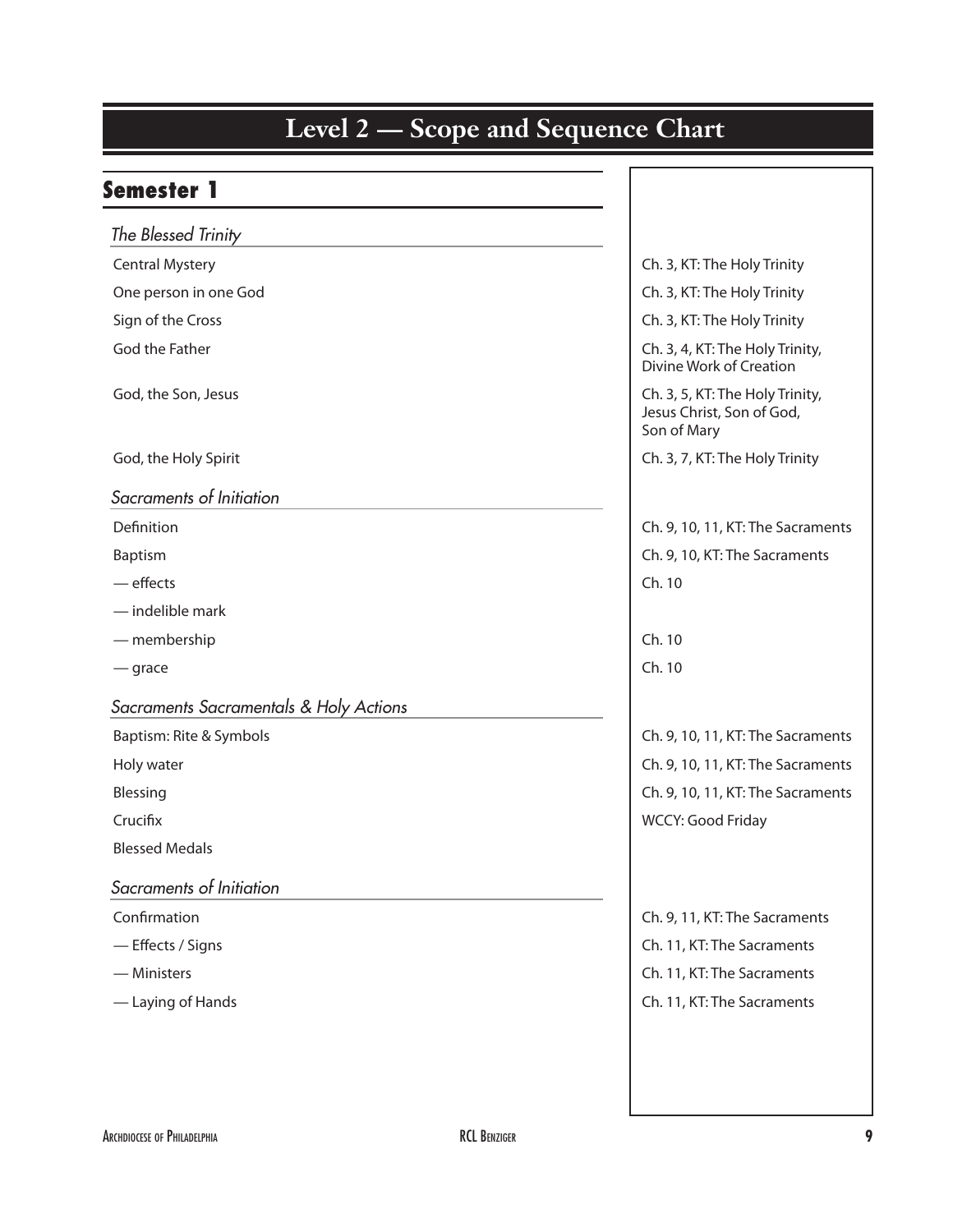#### Semester 1 *The Blessed Trinity* Central Mystery Central Mystery Central Mystery One person in one God **Ch. 3, KT: The Holy Trinity** Sign of the Cross Channels Ch. 3, KT: The Holy Trinity God the Father **Ch. 3, 4, KT: The Holy Trinity**, Divine Work of Creation God, the Son, Jesus Ch. 3, 5, KT: The Holy Trinity, Jesus Christ, Son of God, Son of Mary God, the Holy Spirit God, the Holy Trinity *Sacraments of Initiation* Definition Ch. 9, 10, 11, KT: The Sacraments Baptism Ch. 9, 10, KT: The Sacraments — effects **Ch. 10** — indelible mark — membership Ch. 10  $-$  grace changes of  $\sim$  10  $\sim$  10  $\sim$  10  $\sim$  10  $\sim$  10  $\sim$  10  $\sim$  10  $\sim$ *Sacraments Sacramentals & Holy Actions*  Baptism: Rite & Symbols **Ch. 9, 10, 11, KT: The Sacraments** Holy water **Ch. 9, 10, 11, KT: The Sacraments** Blessing **Ch. 9, 10, 11, KT: The Sacraments** Crucifix WCCY: Good Friday Blessed Medals *Sacraments of Initiation* Confirmation **Confirmation** Confirmation **Confirmation** Ch. 9, 11, KT: The Sacraments — Effects / Signs Channels Ch. 11, KT: The Sacraments — Ministers Channels Ch. 11, KT: The Sacraments — Laying of Hands **Ch. 11, KT: The Sacraments**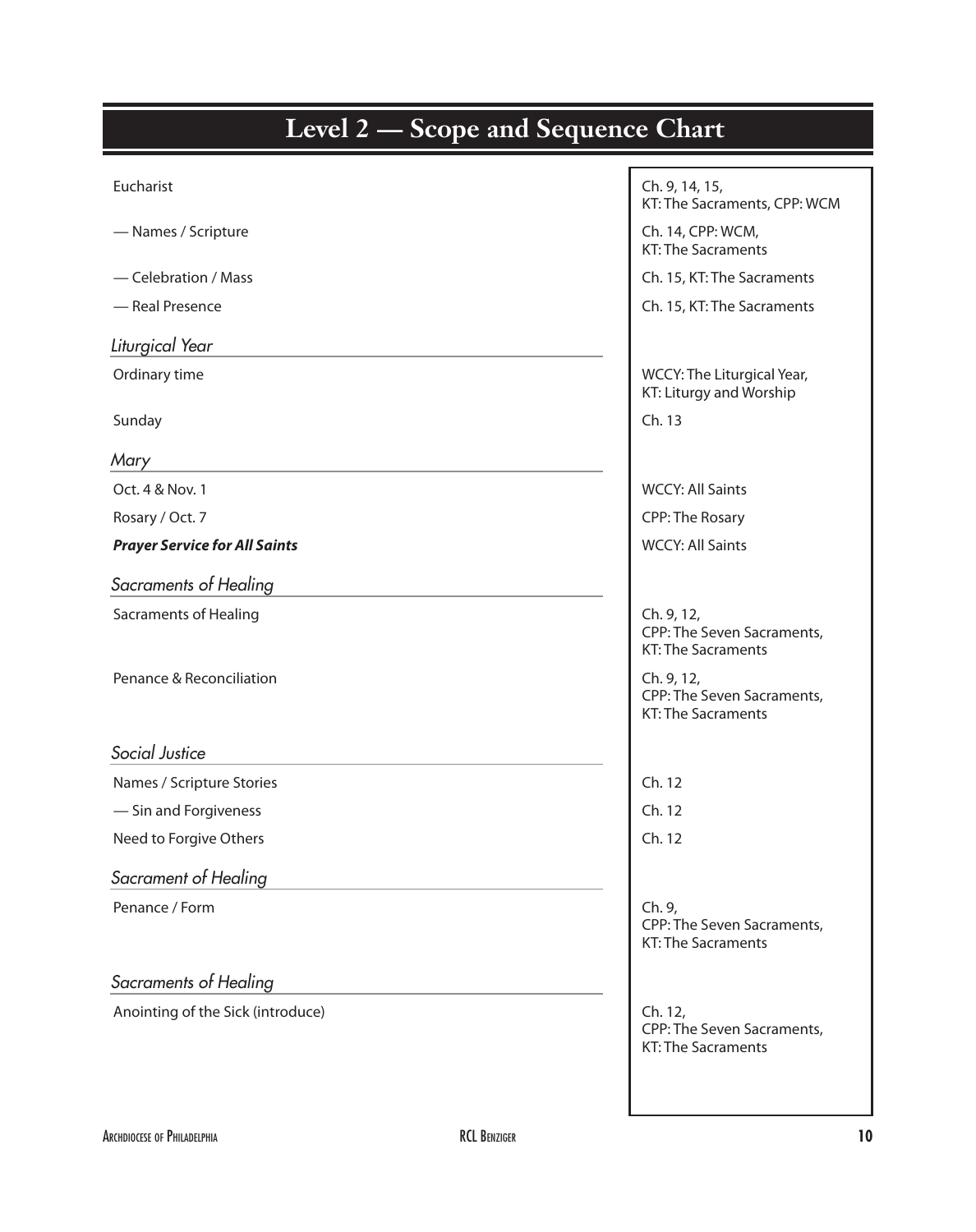| <b>Level 2 — Scope and Sequence Chart</b> |                                                                       |
|-------------------------------------------|-----------------------------------------------------------------------|
|                                           |                                                                       |
| Eucharist                                 | Ch. 9, 14, 15,<br>KT: The Sacraments, CPP: WCM                        |
| - Names / Scripture                       | Ch. 14, CPP: WCM,<br><b>KT: The Sacraments</b>                        |
| - Celebration / Mass                      | Ch. 15, KT: The Sacraments                                            |
| - Real Presence                           | Ch. 15, KT: The Sacraments                                            |
| Liturgical Year                           |                                                                       |
| Ordinary time                             | WCCY: The Liturgical Year,<br>KT: Liturgy and Worship                 |
| Sunday                                    | Ch. 13                                                                |
| Mary                                      |                                                                       |
| Oct. 4 & Nov. 1                           | <b>WCCY: All Saints</b>                                               |
| Rosary / Oct. 7                           | CPP: The Rosary                                                       |
| <b>Prayer Service for All Saints</b>      | <b>WCCY: All Saints</b>                                               |
| Sacraments of Healing                     |                                                                       |
| <b>Sacraments of Healing</b>              | Ch. 9, 12,<br>CPP: The Seven Sacraments,<br><b>KT: The Sacraments</b> |
| Penance & Reconciliation                  | Ch. 9, 12,<br>CPP: The Seven Sacraments,<br><b>KT: The Sacraments</b> |
| Social Justice                            |                                                                       |
| Names / Scripture Stories                 | Ch. 12                                                                |
| - Sin and Forgiveness                     | Ch. 12                                                                |
| Need to Forgive Others                    | Ch. 12                                                                |
| Sacrament of Healing                      |                                                                       |
| Penance / Form                            | Ch. 9,<br>CPP: The Seven Sacraments,<br><b>KT: The Sacraments</b>     |
| Sacraments of Healing                     |                                                                       |
| Anointing of the Sick (introduce)         | Ch. 12,<br>CPP: The Seven Sacraments,<br><b>KT: The Sacraments</b>    |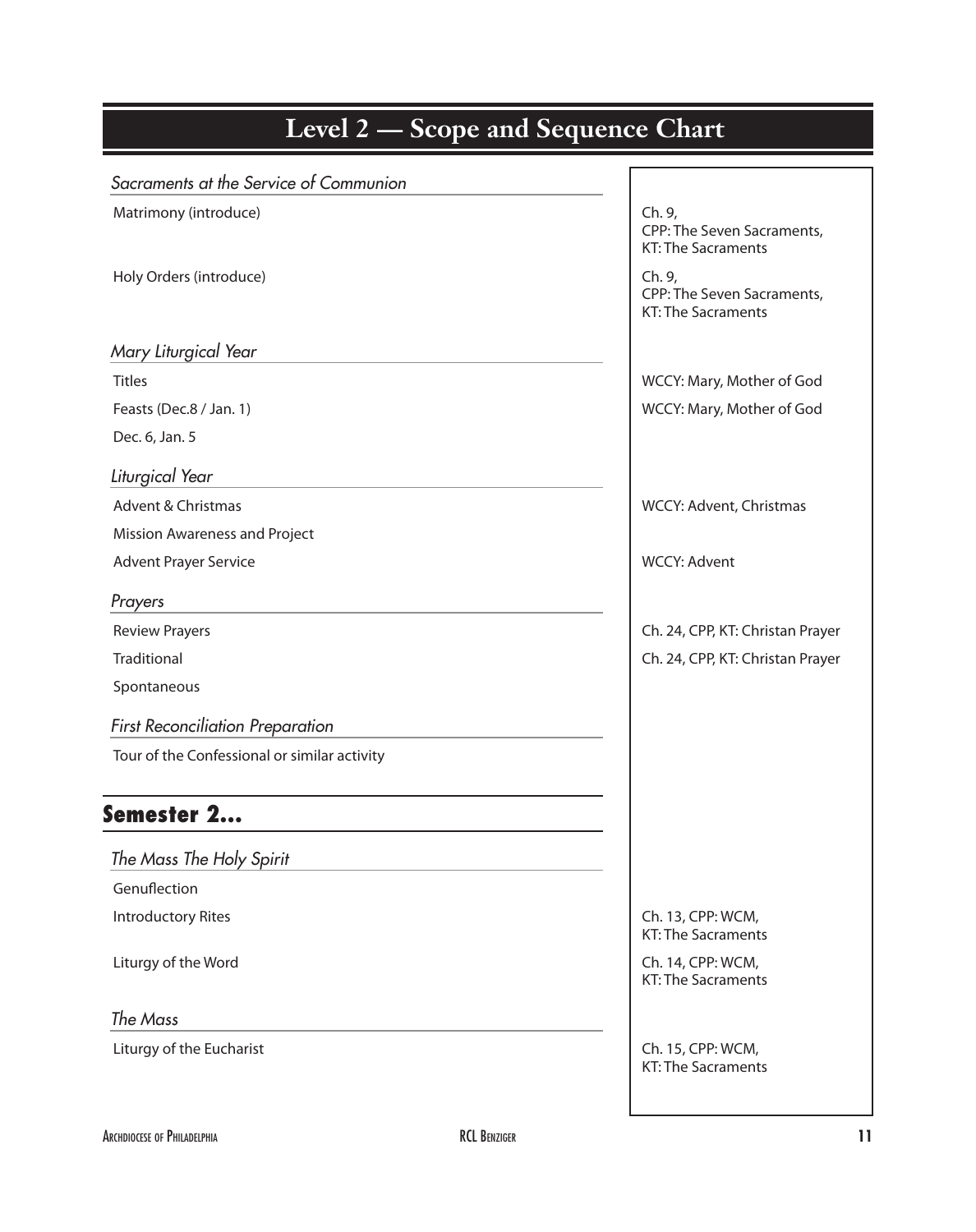| Level 2 — Scope and Sequence Chart           |                                                                   |
|----------------------------------------------|-------------------------------------------------------------------|
| Sacraments at the Service of Communion       |                                                                   |
| Matrimony (introduce)                        | Ch. 9,<br>CPP: The Seven Sacraments,<br><b>KT: The Sacraments</b> |
| Holy Orders (introduce)                      | Ch. 9,<br>CPP: The Seven Sacraments,<br>KT: The Sacraments        |
| Mary Liturgical Year                         |                                                                   |
| <b>Titles</b>                                | WCCY: Mary, Mother of God                                         |
| Feasts (Dec.8 / Jan. 1)                      | WCCY: Mary, Mother of God                                         |
| Dec. 6, Jan. 5                               |                                                                   |
| Liturgical Year                              |                                                                   |
| Advent & Christmas                           | WCCY: Advent, Christmas                                           |
| Mission Awareness and Project                |                                                                   |
| <b>Advent Prayer Service</b>                 | <b>WCCY: Advent</b>                                               |
| Prayers                                      |                                                                   |
| <b>Review Prayers</b>                        | Ch. 24, CPP, KT: Christan Prayer                                  |
| Traditional                                  | Ch. 24, CPP, KT: Christan Prayer                                  |
| Spontaneous                                  |                                                                   |
| <b>First Reconciliation Preparation</b>      |                                                                   |
| Tour of the Confessional or similar activity |                                                                   |
| Semester 2                                   |                                                                   |
| The Mass The Holy Spirit                     |                                                                   |
| Genuflection                                 |                                                                   |
| <b>Introductory Rites</b>                    | Ch. 13, CPP: WCM,<br>KT: The Sacraments                           |
| Liturgy of the Word                          | Ch. 14, CPP: WCM,<br>KT: The Sacraments                           |
| The Mass                                     |                                                                   |
| Liturgy of the Eucharist                     | Ch. 15, CPP: WCM,<br>KT: The Sacraments                           |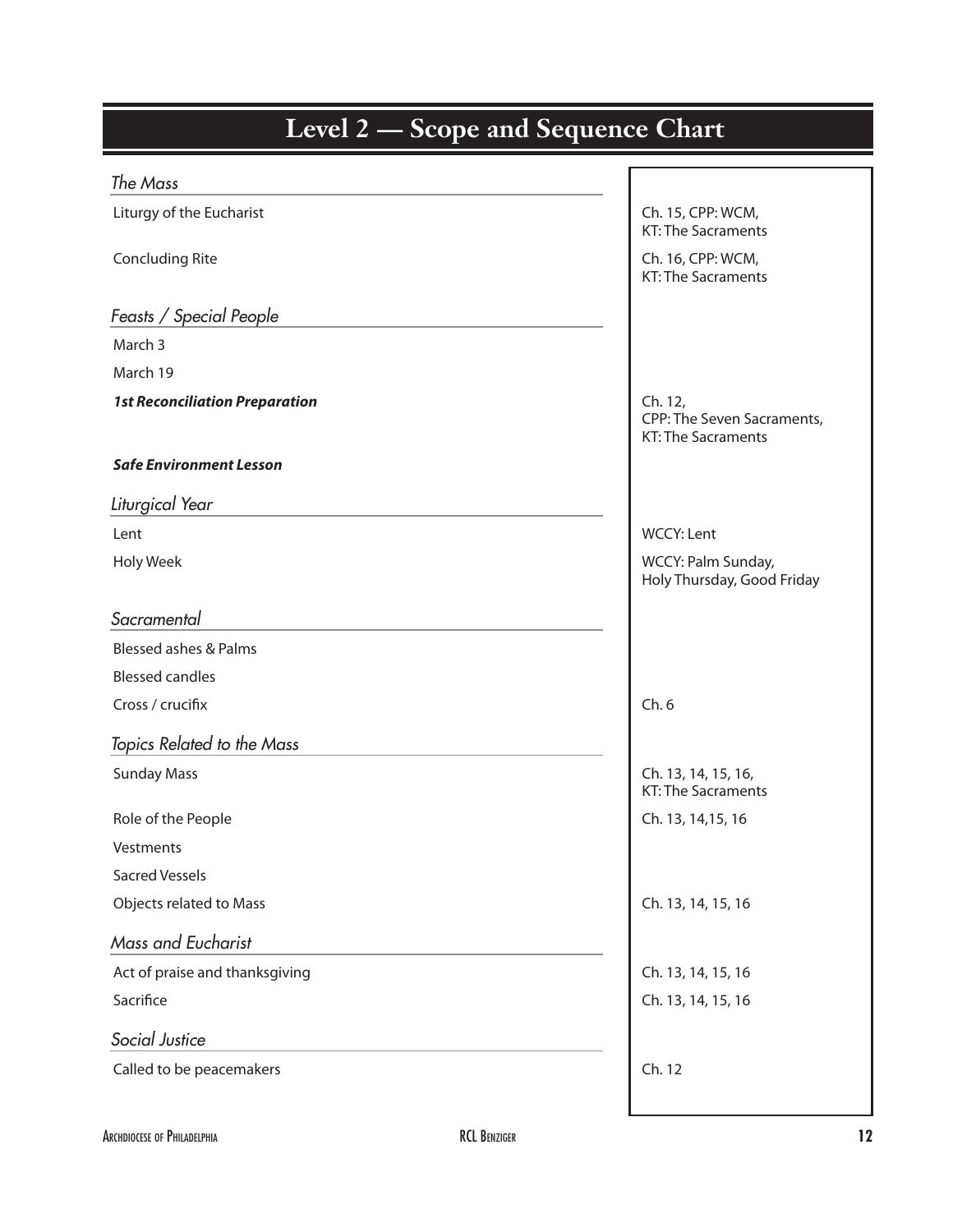| Level 2 - Scope and Sequence Chart    |                                                                    |  |
|---------------------------------------|--------------------------------------------------------------------|--|
| The Mass                              |                                                                    |  |
| Liturgy of the Eucharist              | Ch. 15, CPP: WCM,<br><b>KT: The Sacraments</b>                     |  |
| <b>Concluding Rite</b>                | Ch. 16, CPP: WCM,<br><b>KT: The Sacraments</b>                     |  |
| Feasts / Special People               |                                                                    |  |
| March 3                               |                                                                    |  |
| March 19                              |                                                                    |  |
| <b>1st Reconciliation Preparation</b> | Ch. 12,<br>CPP: The Seven Sacraments,<br><b>KT: The Sacraments</b> |  |
| <b>Safe Environment Lesson</b>        |                                                                    |  |
| Liturgical Year                       |                                                                    |  |
| Lent                                  | <b>WCCY: Lent</b>                                                  |  |
| <b>Holy Week</b>                      | WCCY: Palm Sunday,<br>Holy Thursday, Good Friday                   |  |
| Sacramental                           |                                                                    |  |
| <b>Blessed ashes &amp; Palms</b>      |                                                                    |  |
| <b>Blessed candles</b>                |                                                                    |  |
| Cross / crucifix                      | Ch.6                                                               |  |
| Topics Related to the Mass            |                                                                    |  |
| <b>Sunday Mass</b>                    | Ch. 13, 14, 15, 16,<br>KT: The Sacraments                          |  |
| Role of the People                    | Ch. 13, 14, 15, 16                                                 |  |
| Vestments                             |                                                                    |  |
| <b>Sacred Vessels</b>                 |                                                                    |  |
| Objects related to Mass               | Ch. 13, 14, 15, 16                                                 |  |
| Mass and Eucharist                    |                                                                    |  |
| Act of praise and thanksgiving        | Ch. 13, 14, 15, 16                                                 |  |
| Sacrifice                             | Ch. 13, 14, 15, 16                                                 |  |
| Social Justice                        |                                                                    |  |
| Called to be peacemakers              | Ch. 12                                                             |  |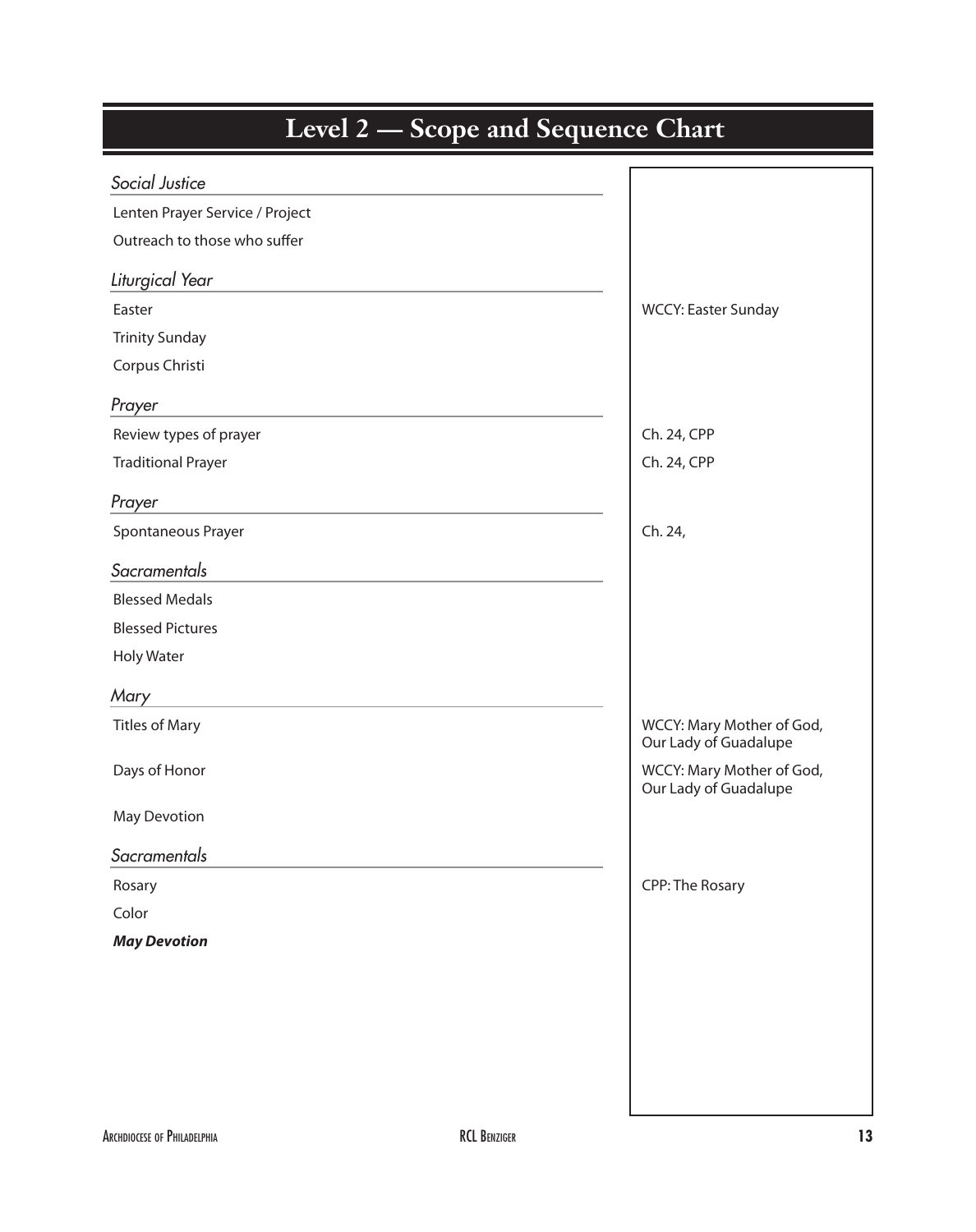| <b>Level 2 — Scope and Sequence Chart</b> |                                                    |
|-------------------------------------------|----------------------------------------------------|
| Social Justice                            |                                                    |
| Lenten Prayer Service / Project           |                                                    |
| Outreach to those who suffer              |                                                    |
| Liturgical Year                           |                                                    |
| Easter                                    | WCCY: Easter Sunday                                |
| <b>Trinity Sunday</b>                     |                                                    |
| Corpus Christi                            |                                                    |
| Prayer                                    |                                                    |
| Review types of prayer                    | Ch. 24, CPP                                        |
| <b>Traditional Prayer</b>                 | Ch. 24, CPP                                        |
| Prayer                                    |                                                    |
| Spontaneous Prayer                        | Ch. 24,                                            |
| Sacramentals                              |                                                    |
| <b>Blessed Medals</b>                     |                                                    |
| <b>Blessed Pictures</b>                   |                                                    |
| <b>Holy Water</b>                         |                                                    |
| Mary                                      |                                                    |
| <b>Titles of Mary</b>                     | WCCY: Mary Mother of God,<br>Our Lady of Guadalupe |
| Days of Honor                             | WCCY: Mary Mother of God,<br>Our Lady of Guadalupe |
| May Devotion                              |                                                    |
| Sacramentals                              |                                                    |
| Rosary                                    | CPP: The Rosary                                    |
|                                           |                                                    |
| Color                                     |                                                    |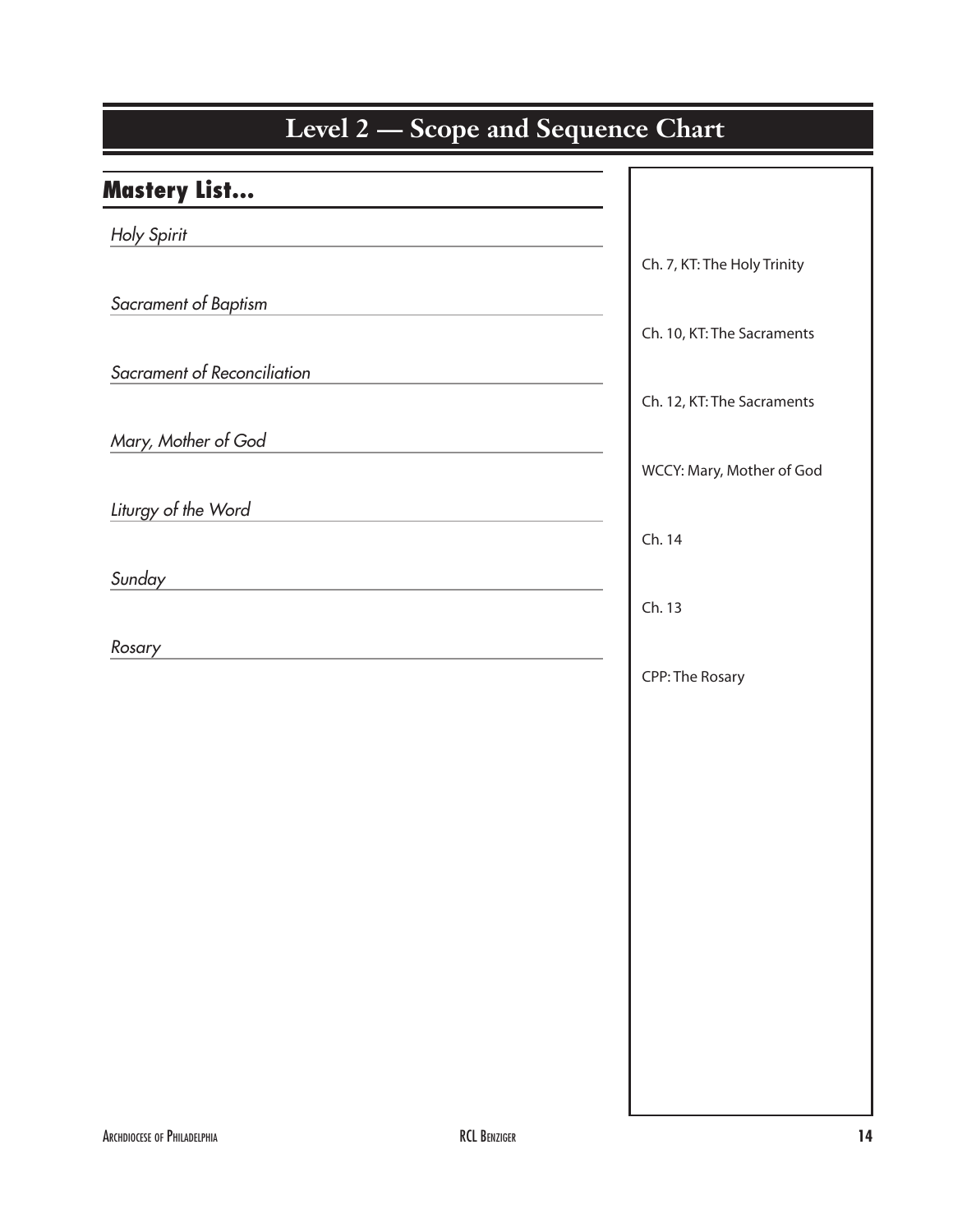# Level 2 – Scope and Sequence Chart Mastery List… *Holy Spirit* Ch. 7, KT: The Holy Trinity *Sacrament of Baptism* Ch. 10, KT: The Sacraments *Sacrament of Reconciliation* Ch. 12, KT: The Sacraments *Mary, Mother of God* WCCY: Mary, Mother of God *Liturgy of the Word*  $Ch. 14$ *Sunday*  $\Box$  Ch. 13 *Rosary* CPP: The Rosary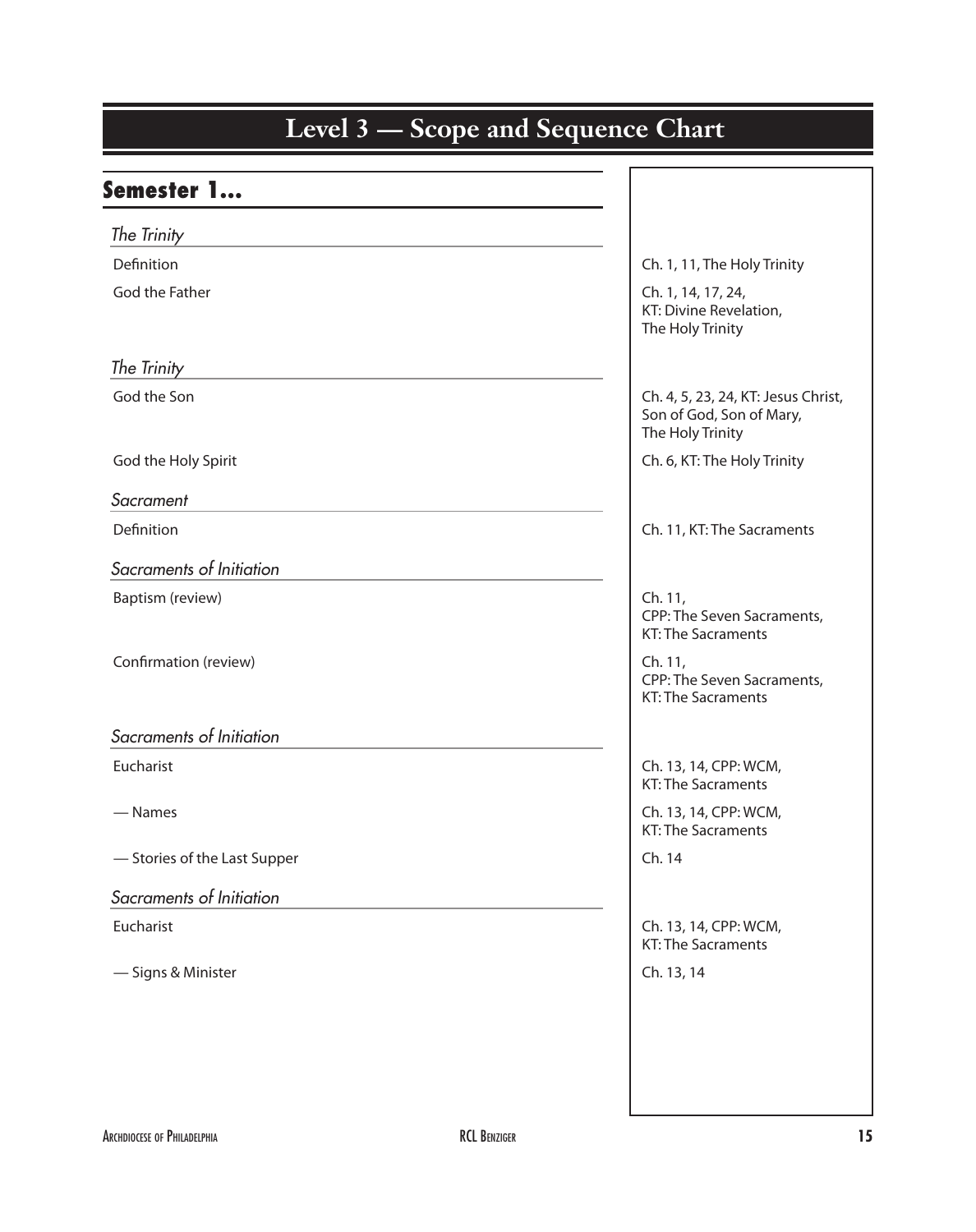| <b>Semester 1</b>            |                                                                                     |
|------------------------------|-------------------------------------------------------------------------------------|
| The Trinity                  |                                                                                     |
| Definition                   | Ch. 1, 11, The Holy Trinity                                                         |
| God the Father               | Ch. 1, 14, 17, 24,<br>KT: Divine Revelation,<br>The Holy Trinity                    |
| The Trinity                  |                                                                                     |
| God the Son                  | Ch. 4, 5, 23, 24, KT: Jesus Christ,<br>Son of God, Son of Mary,<br>The Holy Trinity |
| God the Holy Spirit          | Ch. 6, KT: The Holy Trinity                                                         |
| Sacrament                    |                                                                                     |
| Definition                   | Ch. 11, KT: The Sacraments                                                          |
| Sacraments of Initiation     |                                                                                     |
| Baptism (review)             | Ch. 11,                                                                             |
|                              | CPP: The Seven Sacraments,<br><b>KT: The Sacraments</b>                             |
| Confirmation (review)        | Ch. 11,<br>CPP: The Seven Sacraments,<br><b>KT: The Sacraments</b>                  |
| Sacraments of Initiation     |                                                                                     |
| Eucharist                    | Ch. 13, 14, CPP: WCM,<br><b>KT: The Sacraments</b>                                  |
| — Names                      | Ch. 13, 14, CPP: WCM,<br><b>KT: The Sacraments</b>                                  |
| - Stories of the Last Supper | Ch. 14                                                                              |
| Sacraments of Initiation     |                                                                                     |
| Eucharist                    | Ch. 13, 14, CPP: WCM,<br><b>KT: The Sacraments</b>                                  |
| - Signs & Minister           | Ch. 13, 14                                                                          |

#### **Kindergarten Level 3 — Scope and Sequence Chart**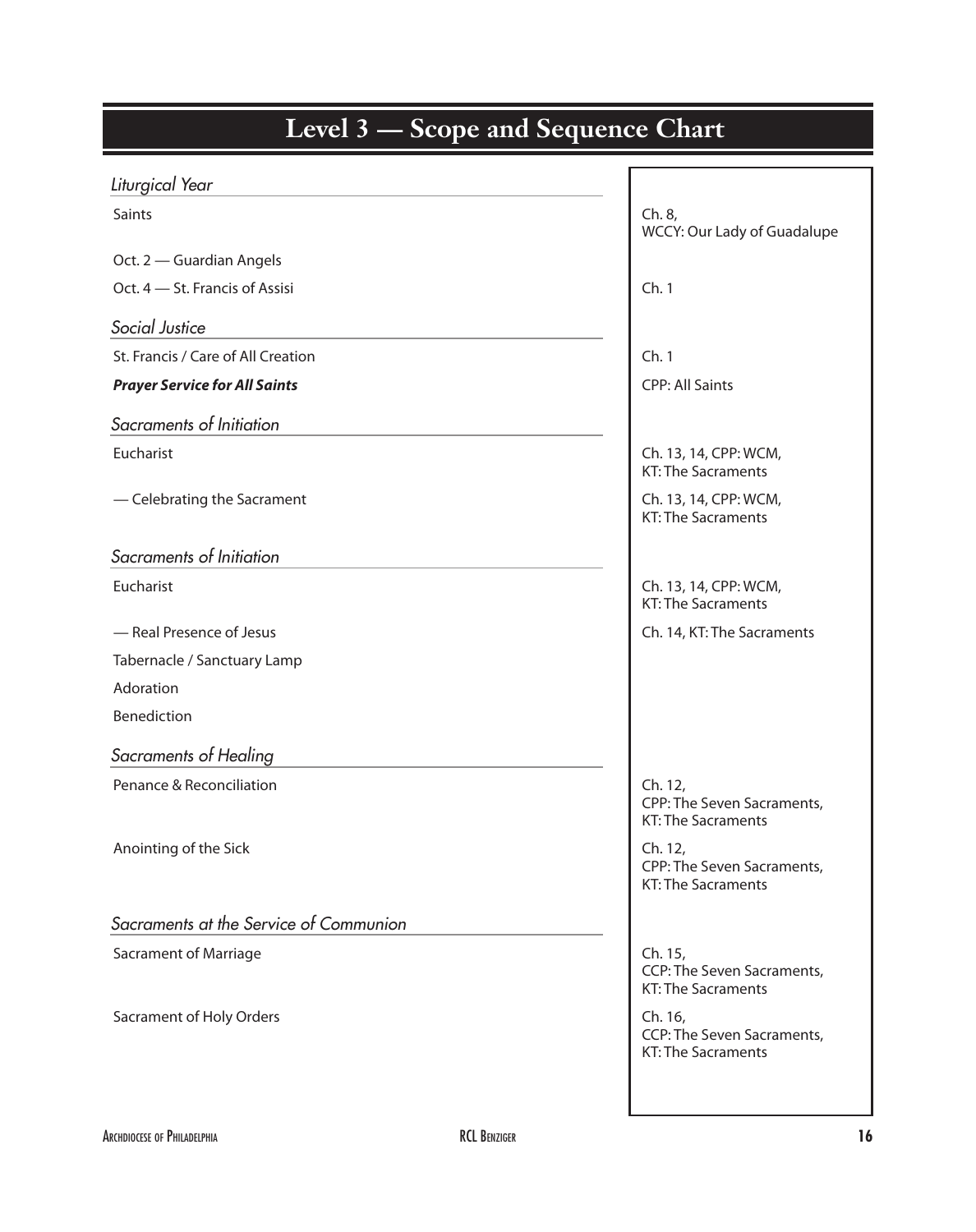| beope and bequence                     |                                                                    |
|----------------------------------------|--------------------------------------------------------------------|
| Liturgical Year                        |                                                                    |
| Saints                                 | Ch. 8,<br>WCCY: Our Lady of Guadalupe                              |
| Oct. 2 - Guardian Angels               |                                                                    |
| Oct. 4 - St. Francis of Assisi         | Ch.1                                                               |
| Social Justice                         |                                                                    |
| St. Francis / Care of All Creation     | Ch.1                                                               |
| <b>Prayer Service for All Saints</b>   | <b>CPP: All Saints</b>                                             |
| Sacraments of Initiation               |                                                                    |
| Eucharist                              | Ch. 13, 14, CPP: WCM,<br><b>KT: The Sacraments</b>                 |
| - Celebrating the Sacrament            | Ch. 13, 14, CPP: WCM,<br><b>KT: The Sacraments</b>                 |
| Sacraments of Initiation               |                                                                    |
| Eucharist                              | Ch. 13, 14, CPP: WCM,<br><b>KT: The Sacraments</b>                 |
| - Real Presence of Jesus               | Ch. 14, KT: The Sacraments                                         |
| Tabernacle / Sanctuary Lamp            |                                                                    |
| Adoration                              |                                                                    |
| Benediction                            |                                                                    |
| Sacraments of Healing                  |                                                                    |
| Penance & Reconciliation               | Ch. 12,<br>CPP: The Seven Sacraments,<br>KT: The Sacraments        |
| Anointing of the Sick                  | Ch. 12,<br>CPP: The Seven Sacraments,<br>KT: The Sacraments        |
| Sacraments at the Service of Communion |                                                                    |
| <b>Sacrament of Marriage</b>           | Ch. 15,<br>CCP: The Seven Sacraments,<br>KT: The Sacraments        |
| <b>Sacrament of Holy Orders</b>        | Ch. 16,<br>CCP: The Seven Sacraments,<br><b>KT: The Sacraments</b> |
|                                        |                                                                    |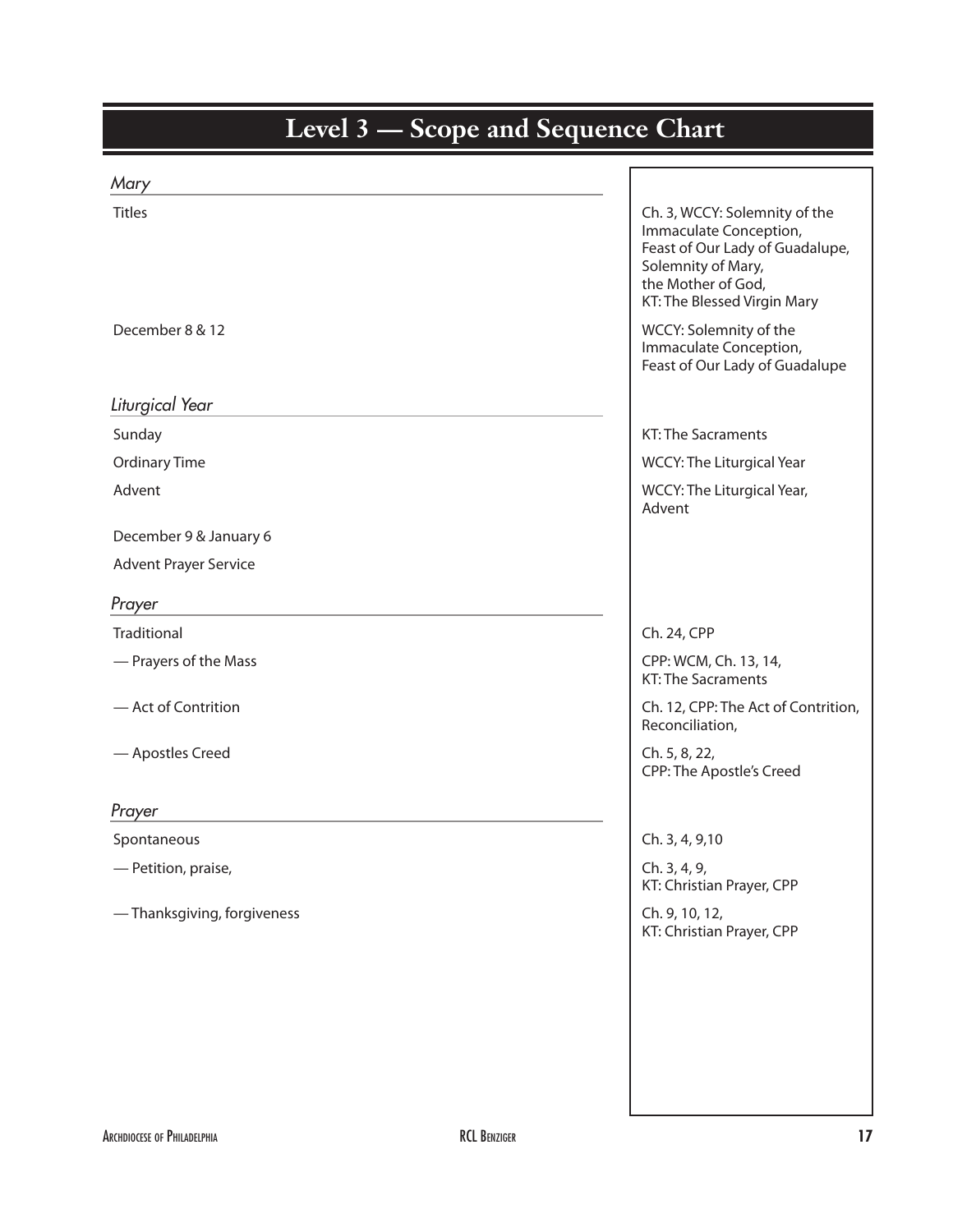| Mary                         |                                                                                                                                                                       |
|------------------------------|-----------------------------------------------------------------------------------------------------------------------------------------------------------------------|
| <b>Titles</b>                | Ch. 3, WCCY: Solemnity of the<br>Immaculate Conception,<br>Feast of Our Lady of Guadalupe,<br>Solemnity of Mary,<br>the Mother of God,<br>KT: The Blessed Virgin Mary |
| December 8 & 12              | WCCY: Solemnity of the<br>Immaculate Conception,<br>Feast of Our Lady of Guadalupe                                                                                    |
| Liturgical Year              |                                                                                                                                                                       |
| Sunday                       | <b>KT: The Sacraments</b>                                                                                                                                             |
| <b>Ordinary Time</b>         | <b>WCCY: The Liturgical Year</b>                                                                                                                                      |
| Advent                       | WCCY: The Liturgical Year,<br>Advent                                                                                                                                  |
| December 9 & January 6       |                                                                                                                                                                       |
| <b>Advent Prayer Service</b> |                                                                                                                                                                       |
| Prayer                       |                                                                                                                                                                       |
| Traditional                  | Ch. 24, CPP                                                                                                                                                           |
| - Prayers of the Mass        | CPP: WCM, Ch. 13, 14,<br><b>KT: The Sacraments</b>                                                                                                                    |
| - Act of Contrition          | Ch. 12, CPP: The Act of Contrition,<br>Reconciliation,                                                                                                                |
| - Apostles Creed             | Ch. 5, 8, 22,<br>CPP: The Apostle's Creed                                                                                                                             |
| Prayer                       |                                                                                                                                                                       |
| Spontaneous                  | Ch. 3, 4, 9,10                                                                                                                                                        |
| - Petition, praise,          | Ch. 3, 4, 9,<br>KT: Christian Prayer, CPP                                                                                                                             |
| -Thanksgiving, forgiveness   | Ch. 9, 10, 12,<br>KT: Christian Prayer, CPP                                                                                                                           |
|                              |                                                                                                                                                                       |
|                              |                                                                                                                                                                       |
|                              |                                                                                                                                                                       |
|                              |                                                                                                                                                                       |
|                              |                                                                                                                                                                       |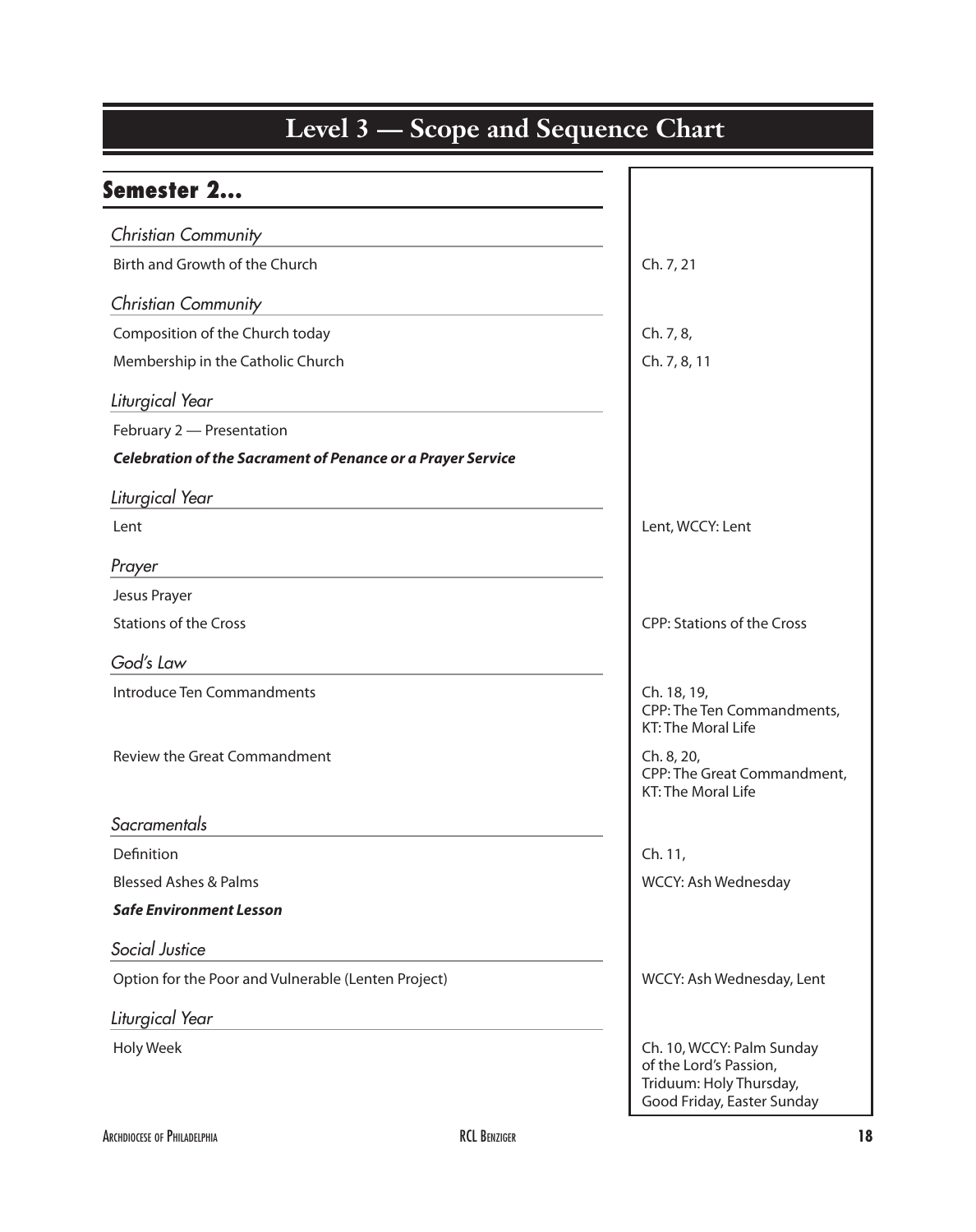| Semester 2                                                         |                                                                                                              |
|--------------------------------------------------------------------|--------------------------------------------------------------------------------------------------------------|
| <b>Christian Community</b>                                         |                                                                                                              |
| Birth and Growth of the Church                                     | Ch. 7, 21                                                                                                    |
| <b>Christian Community</b>                                         |                                                                                                              |
| Composition of the Church today                                    | Ch. 7, 8,                                                                                                    |
| Membership in the Catholic Church                                  | Ch. 7, 8, 11                                                                                                 |
| Liturgical Year                                                    |                                                                                                              |
| February 2 - Presentation                                          |                                                                                                              |
| <b>Celebration of the Sacrament of Penance or a Prayer Service</b> |                                                                                                              |
| Liturgical Year                                                    |                                                                                                              |
| Lent                                                               | Lent, WCCY: Lent                                                                                             |
| Prayer                                                             |                                                                                                              |
| Jesus Prayer                                                       |                                                                                                              |
| <b>Stations of the Cross</b>                                       | <b>CPP: Stations of the Cross</b>                                                                            |
| God's Law                                                          |                                                                                                              |
| Introduce Ten Commandments                                         | Ch. 18, 19,<br>CPP: The Ten Commandments,<br>KT: The Moral Life                                              |
| <b>Review the Great Commandment</b>                                | Ch. 8, 20,<br>CPP: The Great Commandment,<br><b>KT: The Moral Life</b>                                       |
| Sacramentals                                                       |                                                                                                              |
| Definition                                                         | Ch. 11,                                                                                                      |
| <b>Blessed Ashes &amp; Palms</b>                                   | WCCY: Ash Wednesday                                                                                          |
| <b>Safe Environment Lesson</b>                                     |                                                                                                              |
| Social Justice                                                     |                                                                                                              |
| Option for the Poor and Vulnerable (Lenten Project)                | WCCY: Ash Wednesday, Lent                                                                                    |
| Liturgical Year                                                    |                                                                                                              |
| <b>Holy Week</b>                                                   | Ch. 10, WCCY: Palm Sunday<br>of the Lord's Passion,<br>Triduum: Holy Thursday,<br>Good Friday, Easter Sunday |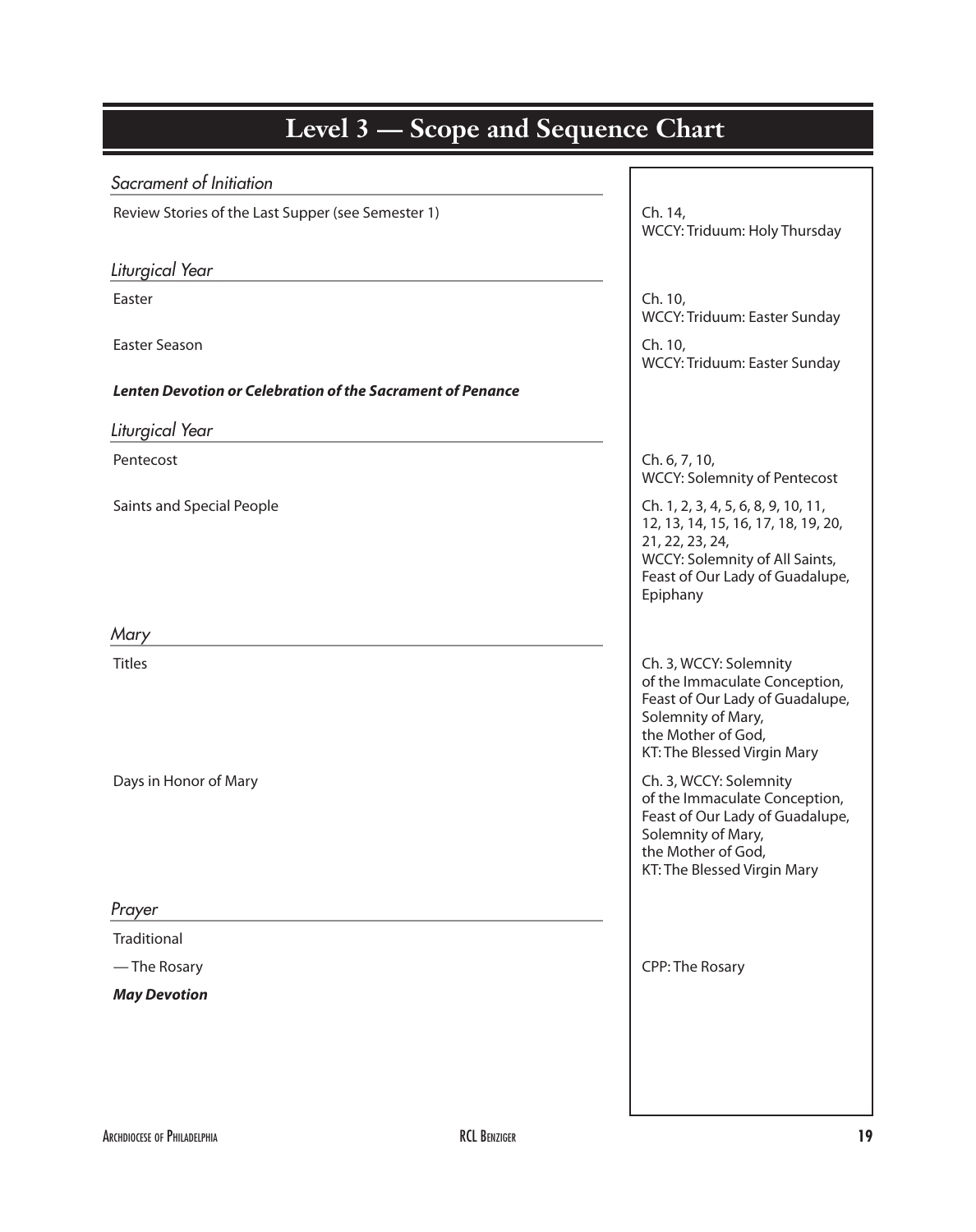| Sacrament of Initiation                                           |                                                                                                                                                                                |
|-------------------------------------------------------------------|--------------------------------------------------------------------------------------------------------------------------------------------------------------------------------|
| Review Stories of the Last Supper (see Semester 1)                | Ch. 14,<br>WCCY: Triduum: Holy Thursday                                                                                                                                        |
| Liturgical Year                                                   |                                                                                                                                                                                |
| Easter                                                            | Ch. 10,<br>WCCY: Triduum: Easter Sunday                                                                                                                                        |
| <b>Easter Season</b>                                              | Ch. 10,<br>WCCY: Triduum: Easter Sunday                                                                                                                                        |
| <b>Lenten Devotion or Celebration of the Sacrament of Penance</b> |                                                                                                                                                                                |
| Liturgical Year                                                   |                                                                                                                                                                                |
| Pentecost                                                         | Ch. 6, 7, 10,<br><b>WCCY: Solemnity of Pentecost</b>                                                                                                                           |
| Saints and Special People                                         | Ch. 1, 2, 3, 4, 5, 6, 8, 9, 10, 11,<br>12, 13, 14, 15, 16, 17, 18, 19, 20,<br>21, 22, 23, 24,<br>WCCY: Solemnity of All Saints,<br>Feast of Our Lady of Guadalupe,<br>Epiphany |
| Mary                                                              |                                                                                                                                                                                |
| <b>Titles</b>                                                     | Ch. 3, WCCY: Solemnity<br>of the Immaculate Conception,<br>Feast of Our Lady of Guadalupe,<br>Solemnity of Mary,<br>the Mother of God,<br>KT: The Blessed Virgin Mary          |
| Days in Honor of Mary                                             | Ch. 3, WCCY: Solemnity<br>of the Immaculate Conception,<br>Feast of Our Lady of Guadalupe,<br>Solemnity of Mary,<br>the Mother of God,<br>KT: The Blessed Virgin Mary          |
| Prayer                                                            |                                                                                                                                                                                |
| Traditional                                                       |                                                                                                                                                                                |
| — The Rosary                                                      | <b>CPP: The Rosary</b>                                                                                                                                                         |
| <b>May Devotion</b>                                               |                                                                                                                                                                                |
|                                                                   |                                                                                                                                                                                |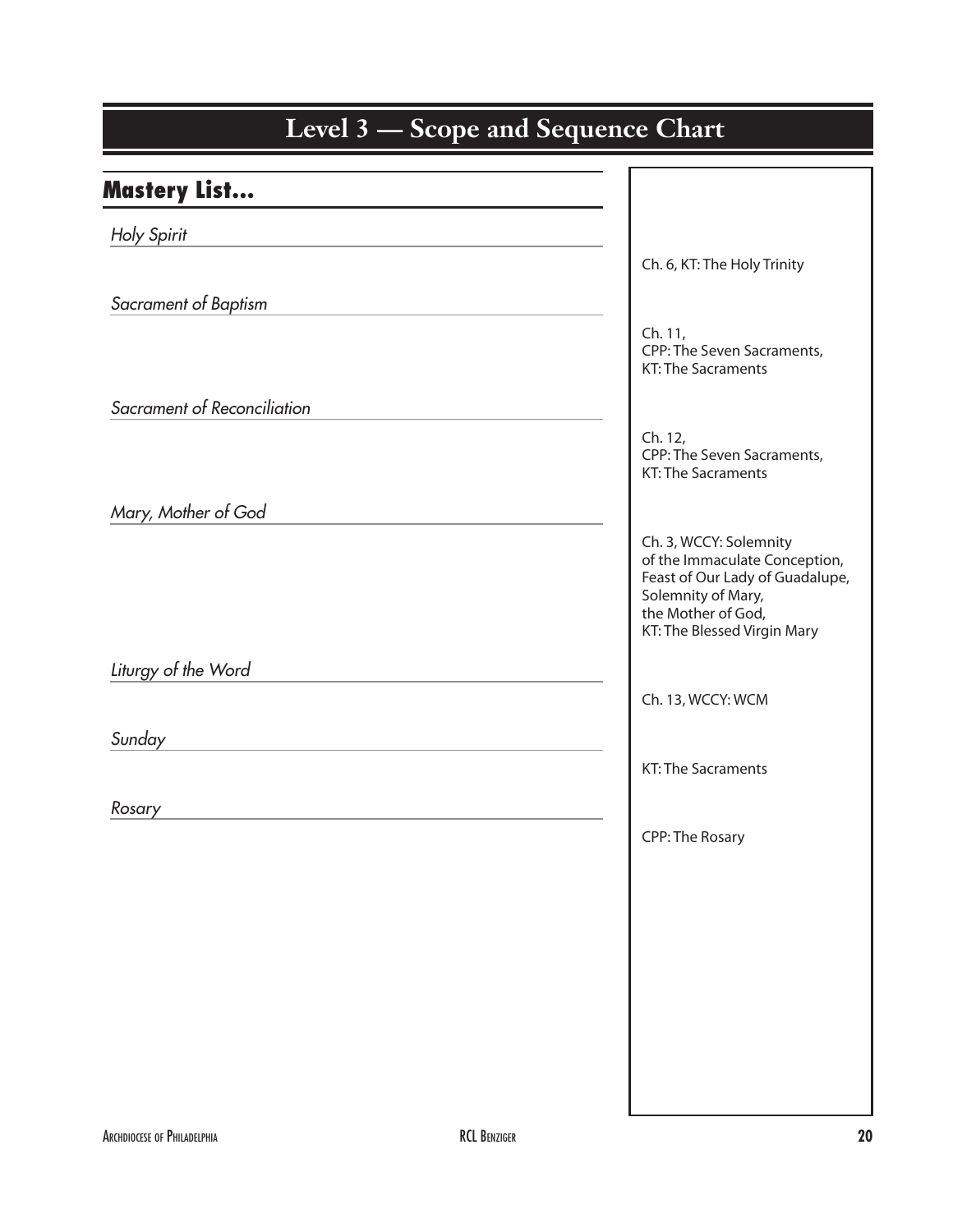| Level 3 — Scope and Sequence Chart |                                                                                                                                                                       |  |
|------------------------------------|-----------------------------------------------------------------------------------------------------------------------------------------------------------------------|--|
| <b>Mastery List</b>                |                                                                                                                                                                       |  |
| Holy Spirit                        |                                                                                                                                                                       |  |
|                                    | Ch. 6, KT: The Holy Trinity                                                                                                                                           |  |
| Sacrament of Baptism               |                                                                                                                                                                       |  |
|                                    | Ch. 11,<br>CPP: The Seven Sacraments,<br><b>KT: The Sacraments</b>                                                                                                    |  |
| Sacrament of Reconciliation        |                                                                                                                                                                       |  |
|                                    | Ch. 12,<br>CPP: The Seven Sacraments,<br><b>KT: The Sacraments</b>                                                                                                    |  |
| Mary, Mother of God                |                                                                                                                                                                       |  |
|                                    | Ch. 3, WCCY: Solemnity<br>of the Immaculate Conception,<br>Feast of Our Lady of Guadalupe,<br>Solemnity of Mary,<br>the Mother of God,<br>KT: The Blessed Virgin Mary |  |
| Liturgy of the Word                |                                                                                                                                                                       |  |
|                                    | Ch. 13, WCCY: WCM                                                                                                                                                     |  |
| Sunday                             |                                                                                                                                                                       |  |
|                                    | KT: The Sacraments                                                                                                                                                    |  |
| Rosary                             |                                                                                                                                                                       |  |
|                                    | <b>CPP: The Rosary</b>                                                                                                                                                |  |
|                                    |                                                                                                                                                                       |  |
|                                    |                                                                                                                                                                       |  |
|                                    |                                                                                                                                                                       |  |
|                                    |                                                                                                                                                                       |  |
|                                    |                                                                                                                                                                       |  |
|                                    |                                                                                                                                                                       |  |
|                                    |                                                                                                                                                                       |  |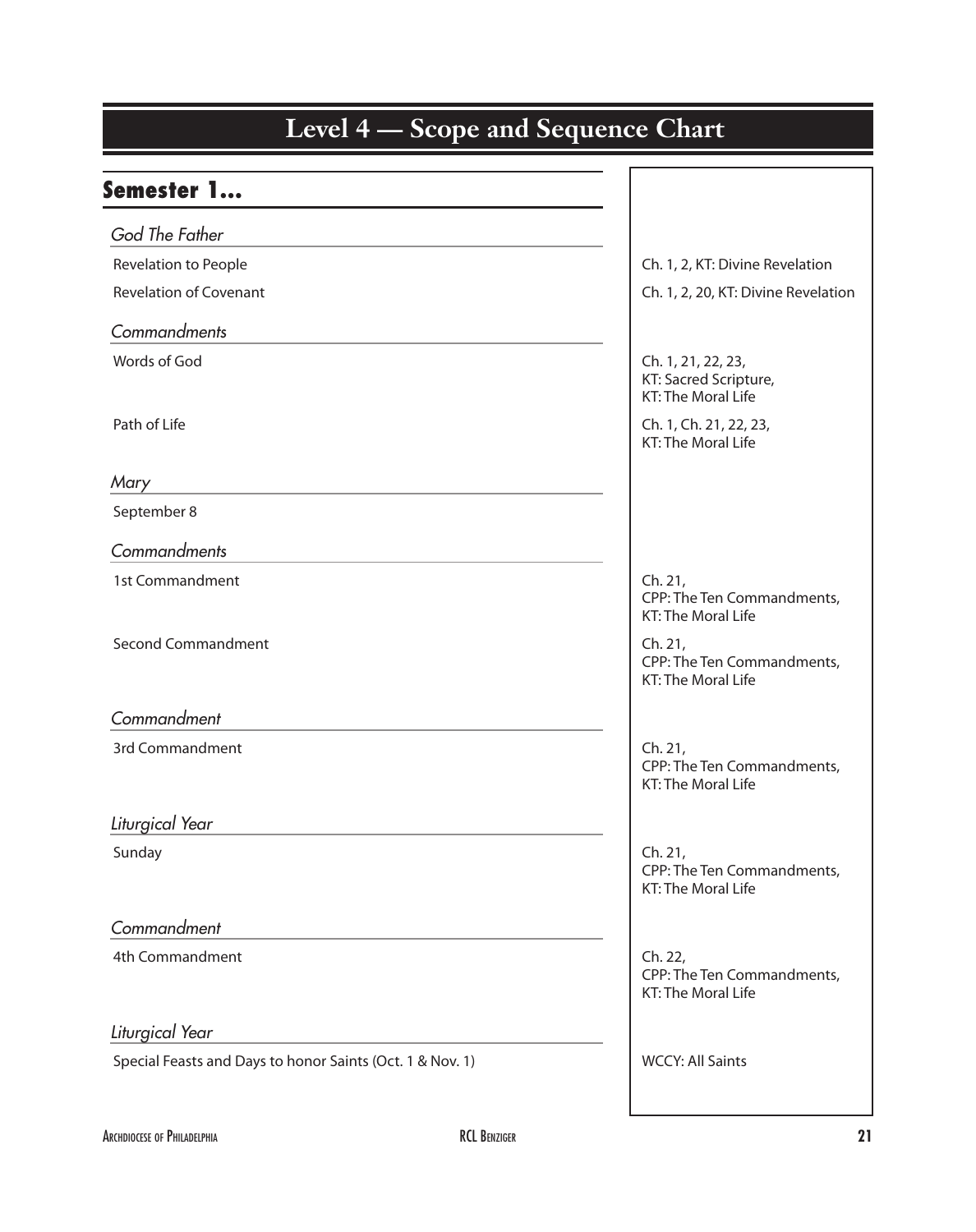| Level 4 – Scope and Sequence Chart                        |                                                                    |  |
|-----------------------------------------------------------|--------------------------------------------------------------------|--|
|                                                           |                                                                    |  |
| <b>Semester 1</b>                                         |                                                                    |  |
| God The Father                                            |                                                                    |  |
| Revelation to People                                      | Ch. 1, 2, KT: Divine Revelation                                    |  |
| <b>Revelation of Covenant</b>                             | Ch. 1, 2, 20, KT: Divine Revelation                                |  |
| Commandments                                              |                                                                    |  |
| Words of God                                              | Ch. 1, 21, 22, 23,<br>KT: Sacred Scripture,<br>KT: The Moral Life  |  |
| Path of Life                                              | Ch. 1, Ch. 21, 22, 23,<br><b>KT: The Moral Life</b>                |  |
| Mary                                                      |                                                                    |  |
| September 8                                               |                                                                    |  |
| Commandments                                              |                                                                    |  |
| 1st Commandment                                           | Ch. 21,<br>CPP: The Ten Commandments,<br>KT: The Moral Life        |  |
| <b>Second Commandment</b>                                 | Ch. 21,<br>CPP: The Ten Commandments,<br><b>KT: The Moral Life</b> |  |
| Commandment                                               |                                                                    |  |
| 3rd Commandment                                           | Ch. 21,<br>CPP: The Ten Commandments,<br>KT: The Moral Life        |  |
| Liturgical Year                                           |                                                                    |  |
| Sunday                                                    | Ch. 21,<br>CPP: The Ten Commandments,<br>KT: The Moral Life        |  |
| Commandment                                               |                                                                    |  |
| 4th Commandment                                           | Ch. 22,<br>CPP: The Ten Commandments,<br>KT: The Moral Life        |  |
| Liturgical Year                                           |                                                                    |  |
| Special Feasts and Days to honor Saints (Oct. 1 & Nov. 1) | <b>WCCY: All Saints</b>                                            |  |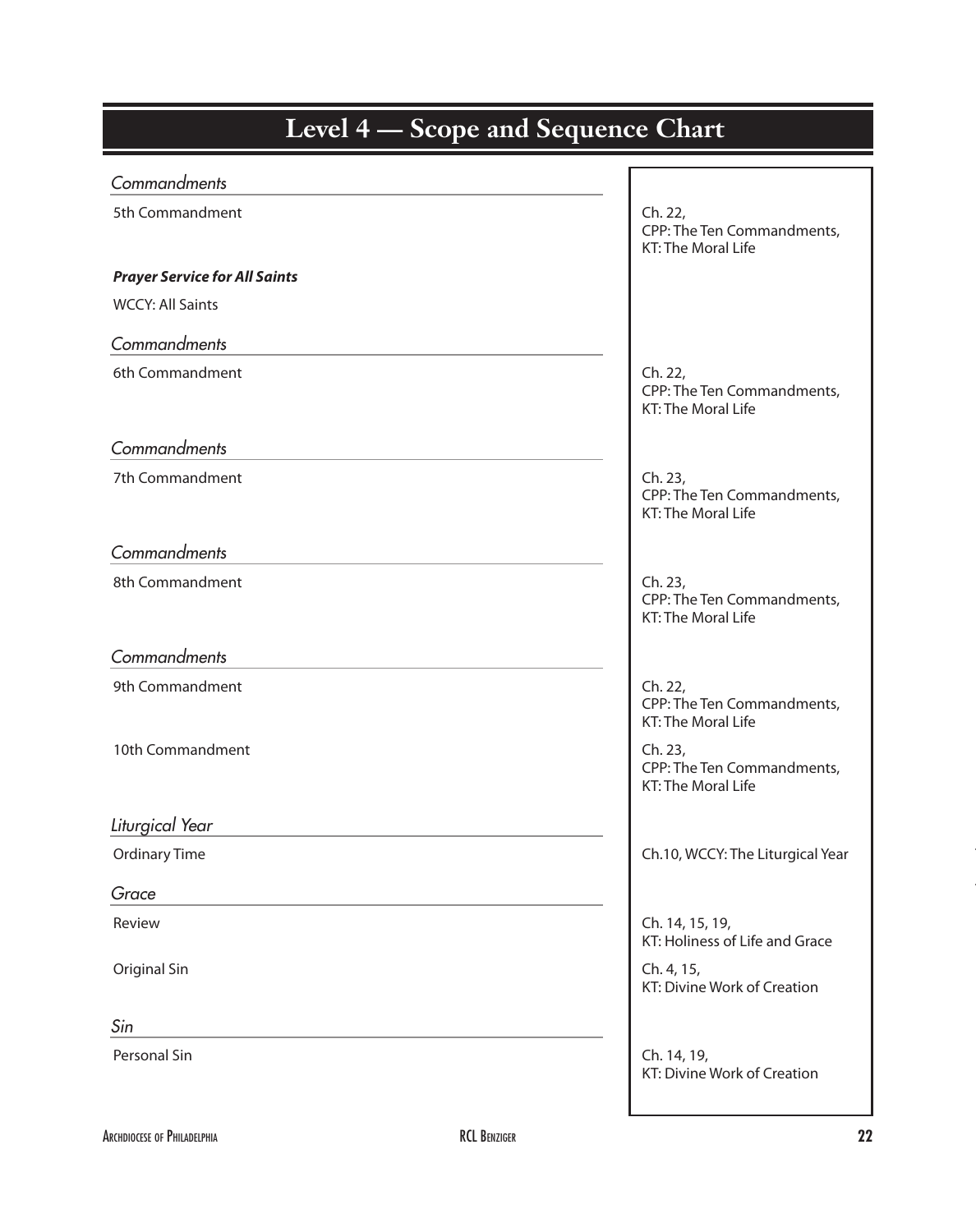| <b>Level 4 – Scope and Sequence Chart</b> |                                                                    |
|-------------------------------------------|--------------------------------------------------------------------|
| Commandments                              |                                                                    |
| 5th Commandment                           | Ch. 22,<br>CPP: The Ten Commandments,<br>KT: The Moral Life        |
| <b>Prayer Service for All Saints</b>      |                                                                    |
| <b>WCCY: All Saints</b>                   |                                                                    |
| Commandments                              |                                                                    |
| 6th Commandment                           | Ch. 22,<br>CPP: The Ten Commandments,<br><b>KT: The Moral Life</b> |
| Commandments                              |                                                                    |
| 7th Commandment                           | Ch. 23,<br>CPP: The Ten Commandments,<br>KT: The Moral Life        |
| Commandments                              |                                                                    |
| 8th Commandment                           | Ch. 23,<br>CPP: The Ten Commandments,<br><b>KT: The Moral Life</b> |
| Commandments                              |                                                                    |
| 9th Commandment                           | Ch. 22,<br>CPP: The Ten Commandments,<br>KT: The Moral Life        |
| 10th Commandment                          | Ch. 23,<br>CPP: The Ten Commandments,<br>KT: The Moral Life        |
| Liturgical Year                           |                                                                    |
| <b>Ordinary Time</b>                      | Ch.10, WCCY: The Liturgical Year                                   |
| Grace                                     |                                                                    |
| Review                                    | Ch. 14, 15, 19,<br>KT: Holiness of Life and Grace                  |
| Original Sin                              | Ch. 4, 15,<br>KT: Divine Work of Creation                          |
| Sin                                       |                                                                    |
| Personal Sin                              | Ch. 14, 19,<br>KT: Divine Work of Creation                         |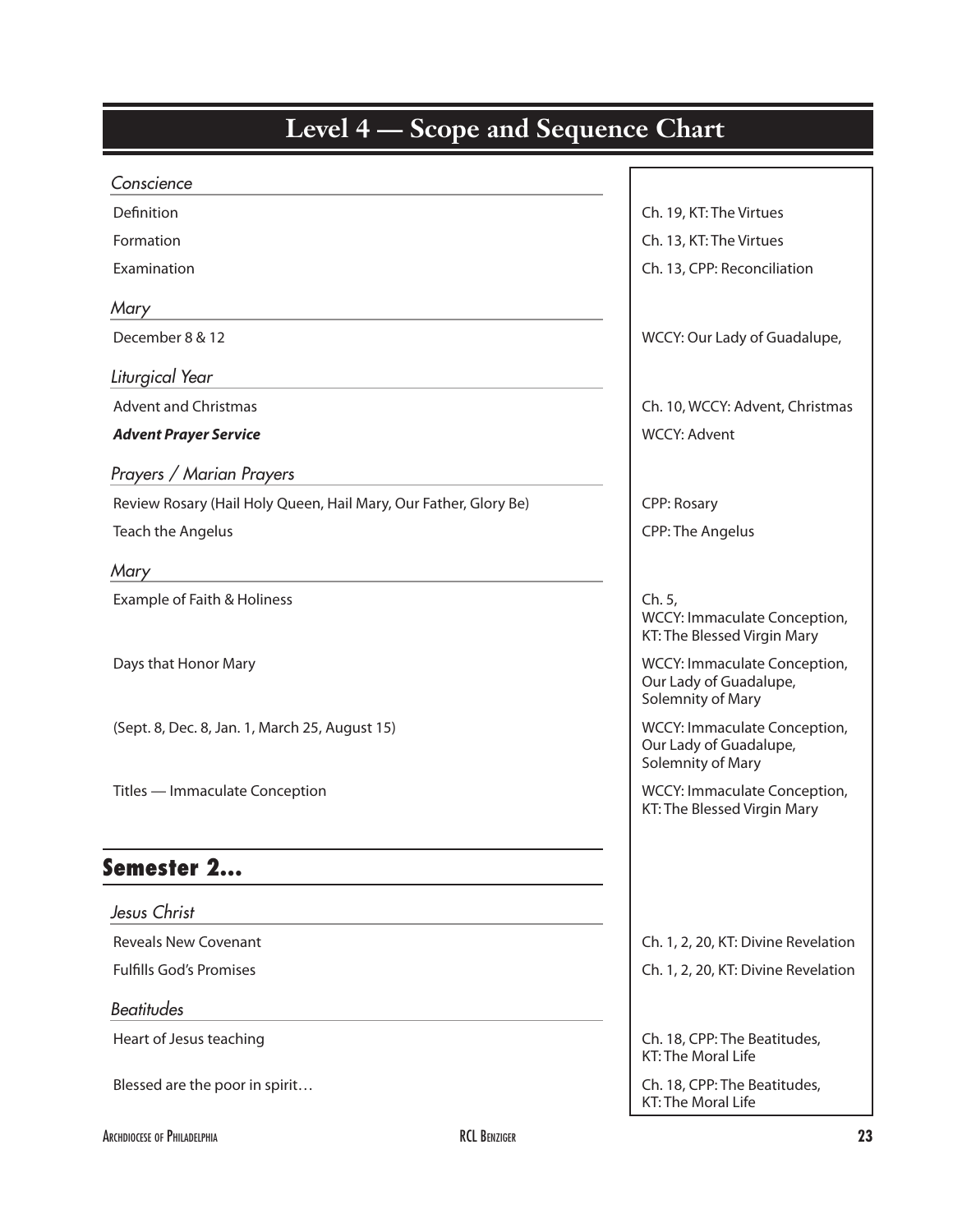| Level 4 – Scope and Sequence Chart                               |                                                                             |
|------------------------------------------------------------------|-----------------------------------------------------------------------------|
| Conscience                                                       |                                                                             |
| Definition                                                       | Ch. 19, KT: The Virtues                                                     |
| Formation                                                        | Ch. 13, KT: The Virtues                                                     |
| Examination                                                      | Ch. 13, CPP: Reconciliation                                                 |
| Mary                                                             |                                                                             |
| December 8 & 12                                                  | WCCY: Our Lady of Guadalupe,                                                |
| Liturgical Year                                                  |                                                                             |
| <b>Advent and Christmas</b>                                      | Ch. 10, WCCY: Advent, Christmas                                             |
| <b>Advent Prayer Service</b>                                     | <b>WCCY: Advent</b>                                                         |
| Prayers / Marian Prayers                                         |                                                                             |
| Review Rosary (Hail Holy Queen, Hail Mary, Our Father, Glory Be) | <b>CPP: Rosary</b>                                                          |
| Teach the Angelus                                                | <b>CPP: The Angelus</b>                                                     |
| Mary                                                             |                                                                             |
| Example of Faith & Holiness                                      | Ch. 5,<br>WCCY: Immaculate Conception,<br>KT: The Blessed Virgin Mary       |
| Days that Honor Mary                                             | WCCY: Immaculate Conception,<br>Our Lady of Guadalupe,<br>Solemnity of Mary |
| (Sept. 8, Dec. 8, Jan. 1, March 25, August 15)                   | WCCY: Immaculate Conception,<br>Our Lady of Guadalupe,<br>Solemnity of Mary |
| Titles - Immaculate Conception                                   | WCCY: Immaculate Conception,<br>KT: The Blessed Virgin Mary                 |
| Semester 2<br>Jesus Christ                                       |                                                                             |
| <b>Reveals New Covenant</b>                                      | Ch. 1, 2, 20, KT: Divine Revelation                                         |
| <b>Fulfills God's Promises</b>                                   | Ch. 1, 2, 20, KT: Divine Revelation                                         |
| <b>Beatitudes</b>                                                |                                                                             |
| Heart of Jesus teaching                                          | Ch. 18, CPP: The Beatitudes,<br>KT: The Moral Life                          |
| Blessed are the poor in spirit                                   | Ch. 18, CPP: The Beatitudes,<br>KT: The Moral Life                          |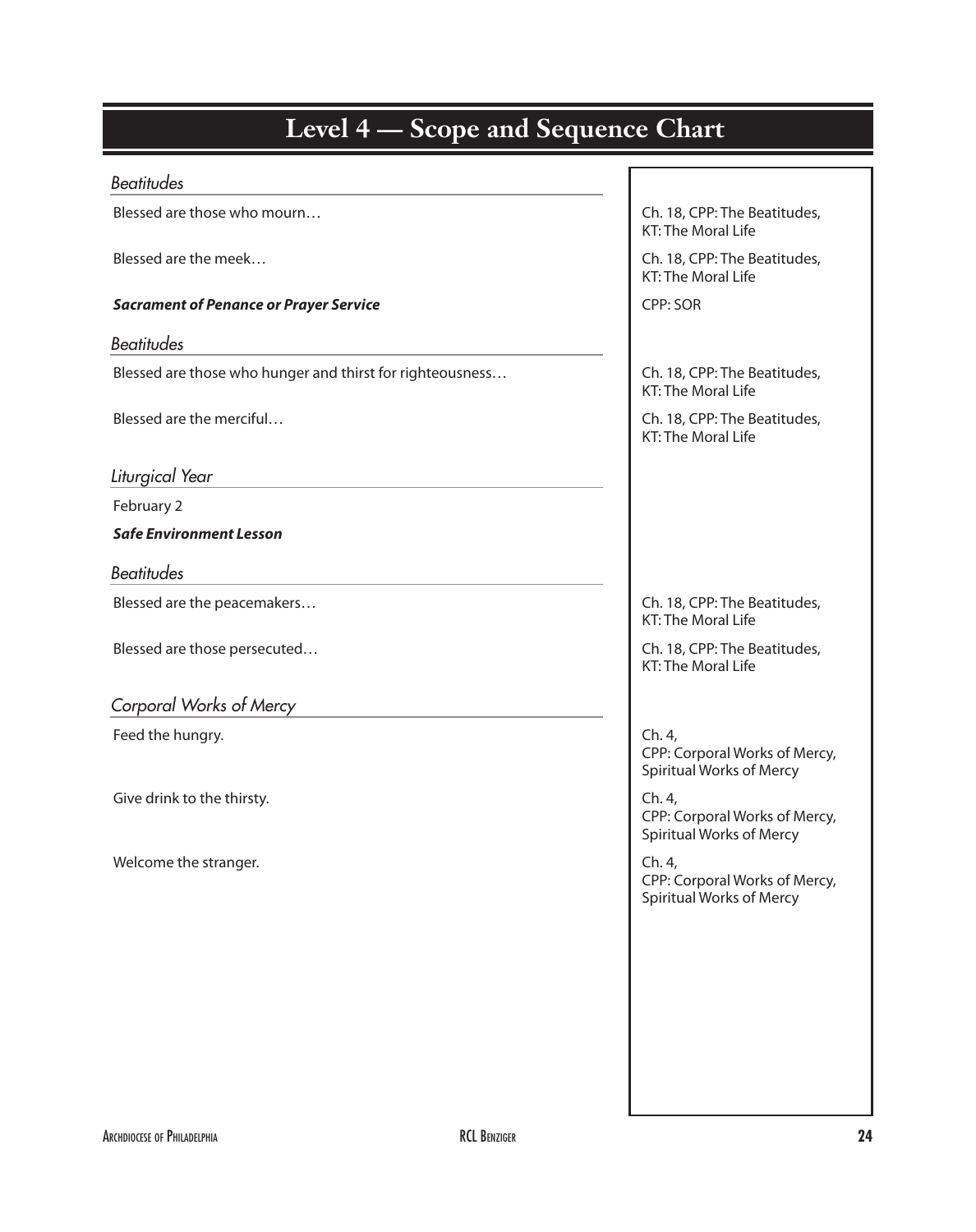| <b>Level 4 — Scope and Sequence Chart</b>                 |                                                                            |  |
|-----------------------------------------------------------|----------------------------------------------------------------------------|--|
| <b>Beatitudes</b>                                         |                                                                            |  |
| Blessed are those who mourn                               | Ch. 18, CPP: The Beatitudes,<br>KT: The Moral Life                         |  |
| Blessed are the meek                                      | Ch. 18, CPP: The Beatitudes,<br><b>KT: The Moral Life</b>                  |  |
| <b>Sacrament of Penance or Prayer Service</b>             | CPP: SOR                                                                   |  |
| <b>Beatitudes</b>                                         |                                                                            |  |
| Blessed are those who hunger and thirst for righteousness | Ch. 18, CPP: The Beatitudes,<br>KT: The Moral Life                         |  |
| Blessed are the merciful                                  | Ch. 18, CPP: The Beatitudes,<br><b>KT: The Moral Life</b>                  |  |
| Liturgical Year                                           |                                                                            |  |
| February 2                                                |                                                                            |  |
| <b>Safe Environment Lesson</b>                            |                                                                            |  |
| <b>Beatitudes</b>                                         |                                                                            |  |
| Blessed are the peacemakers                               | Ch. 18, CPP: The Beatitudes,<br><b>KT: The Moral Life</b>                  |  |
| Blessed are those persecuted                              | Ch. 18, CPP: The Beatitudes,<br>KT: The Moral Life                         |  |
| Corporal Works of Mercy                                   |                                                                            |  |
| Feed the hungry.                                          | Ch. 4,<br>CPP: Corporal Works of Mercy,<br><b>Spiritual Works of Mercy</b> |  |
| Give drink to the thirsty.                                | Ch. 4,<br>CPP: Corporal Works of Mercy,<br><b>Spiritual Works of Mercy</b> |  |
| Welcome the stranger.                                     | Ch. 4,<br>CPP: Corporal Works of Mercy,<br><b>Spiritual Works of Mercy</b> |  |
|                                                           |                                                                            |  |
|                                                           |                                                                            |  |
|                                                           |                                                                            |  |
|                                                           |                                                                            |  |
|                                                           |                                                                            |  |
|                                                           |                                                                            |  |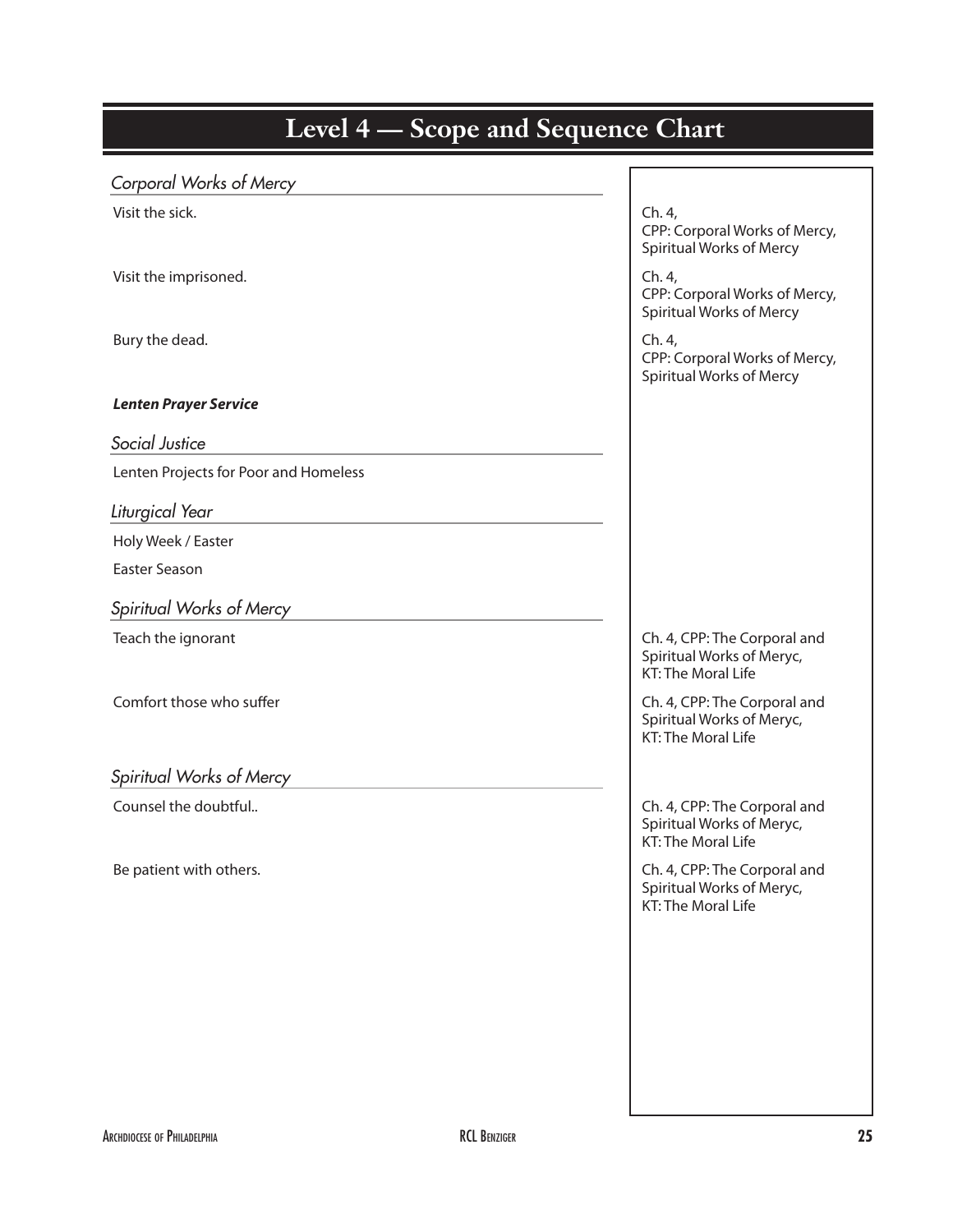| <b>LUVEL</b><br>. .<br>beope and bequence Chart |                                                                                        |
|-------------------------------------------------|----------------------------------------------------------------------------------------|
| Corporal Works of Mercy                         |                                                                                        |
| Visit the sick.                                 | Ch. 4,<br>CPP: Corporal Works of Mercy,<br><b>Spiritual Works of Mercy</b>             |
| Visit the imprisoned.                           | Ch. 4,<br>CPP: Corporal Works of Mercy,<br><b>Spiritual Works of Mercy</b>             |
| Bury the dead.                                  | Ch. 4,<br>CPP: Corporal Works of Mercy,<br><b>Spiritual Works of Mercy</b>             |
| <b>Lenten Prayer Service</b>                    |                                                                                        |
| Social Justice                                  |                                                                                        |
| Lenten Projects for Poor and Homeless           |                                                                                        |
| Liturgical Year                                 |                                                                                        |
| Holy Week / Easter                              |                                                                                        |
| <b>Easter Season</b>                            |                                                                                        |
| Spiritual Works of Mercy                        |                                                                                        |
| Teach the ignorant                              | Ch. 4, CPP: The Corporal and<br>Spiritual Works of Meryc,<br>KT: The Moral Life        |
| Comfort those who suffer                        | Ch. 4, CPP: The Corporal and<br>Spiritual Works of Meryc,<br>KT: The Moral Life        |
| Spiritual Works of Mercy                        |                                                                                        |
| Counsel the doubtful                            | Ch. 4, CPP: The Corporal and<br>Spiritual Works of Meryc,<br>KT: The Moral Life        |
| Be patient with others.                         | Ch. 4, CPP: The Corporal and<br>Spiritual Works of Meryc,<br><b>KT: The Moral Life</b> |
|                                                 |                                                                                        |
|                                                 |                                                                                        |
|                                                 |                                                                                        |
|                                                 |                                                                                        |
|                                                 |                                                                                        |
|                                                 |                                                                                        |

# **Kinder Level 4 — Scope and Sequence Chart**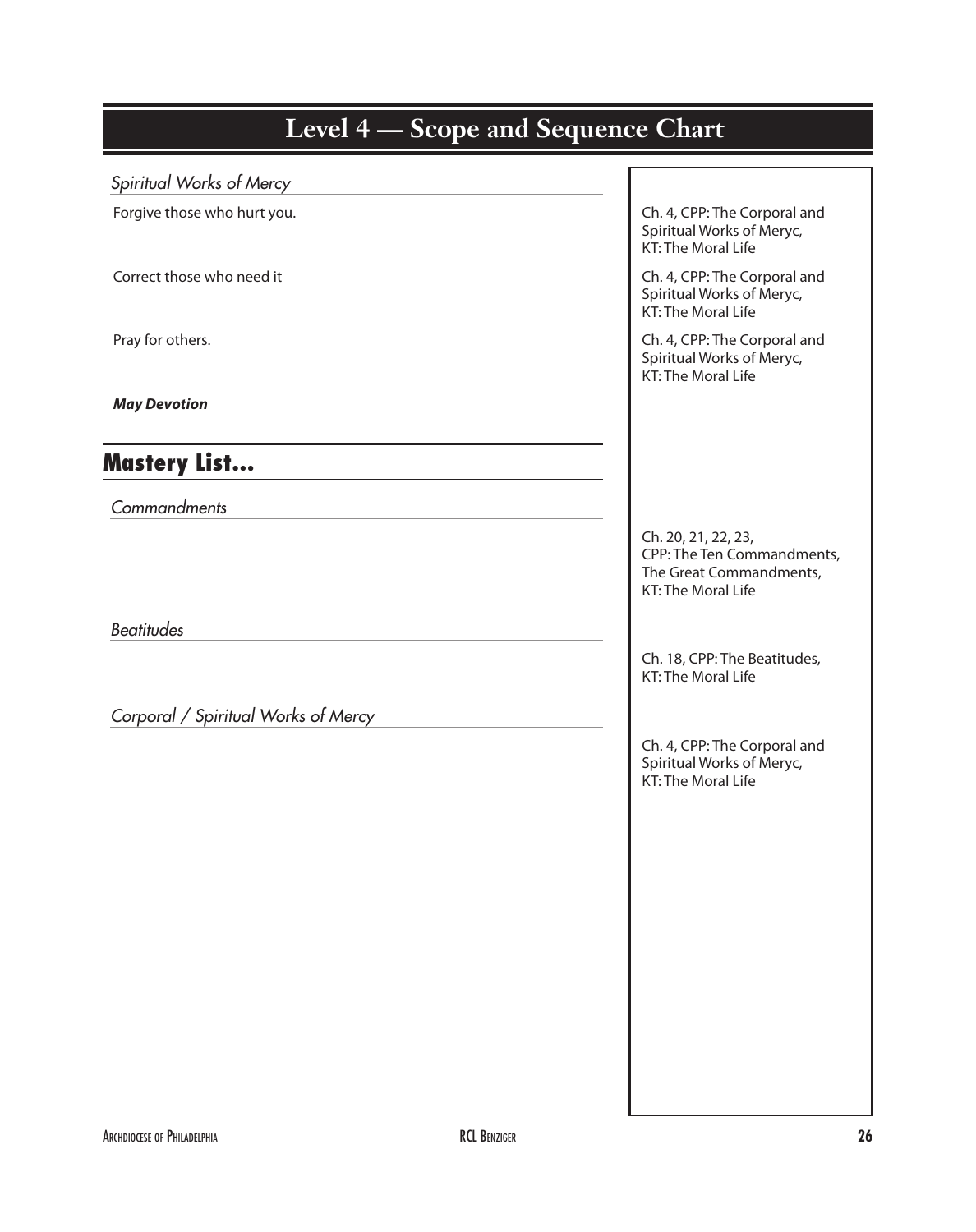## Level 4 – Scope and Sequence Chart *Spiritual Works of Mercy* Forgive those who hurt you. The Corporal and The Corporal and The Corporal and The Corporal and The Corporal and Spiritual Works of Meryc, KT: The Moral Life Correct those who need it Ch. 4, CPP: The Corporal and Spiritual Works of Meryc, KT: The Moral Life Pray for others. Changes and Ch. 4, CPP: The Corporal and Spiritual Works of Meryc, KT: The Moral Life *May Devotion* Mastery List… *Commandments* Ch. 20, 21, 22, 23, CPP: The Ten Commandments, The Great Commandments, KT: The Moral Life *Beatitudes* Ch. 18, CPP: The Beatitudes, KT: The Moral Life *Corporal / Spiritual Works of Mercy* Ch. 4, CPP: The Corporal and Spiritual Works of Meryc, KT: The Moral Life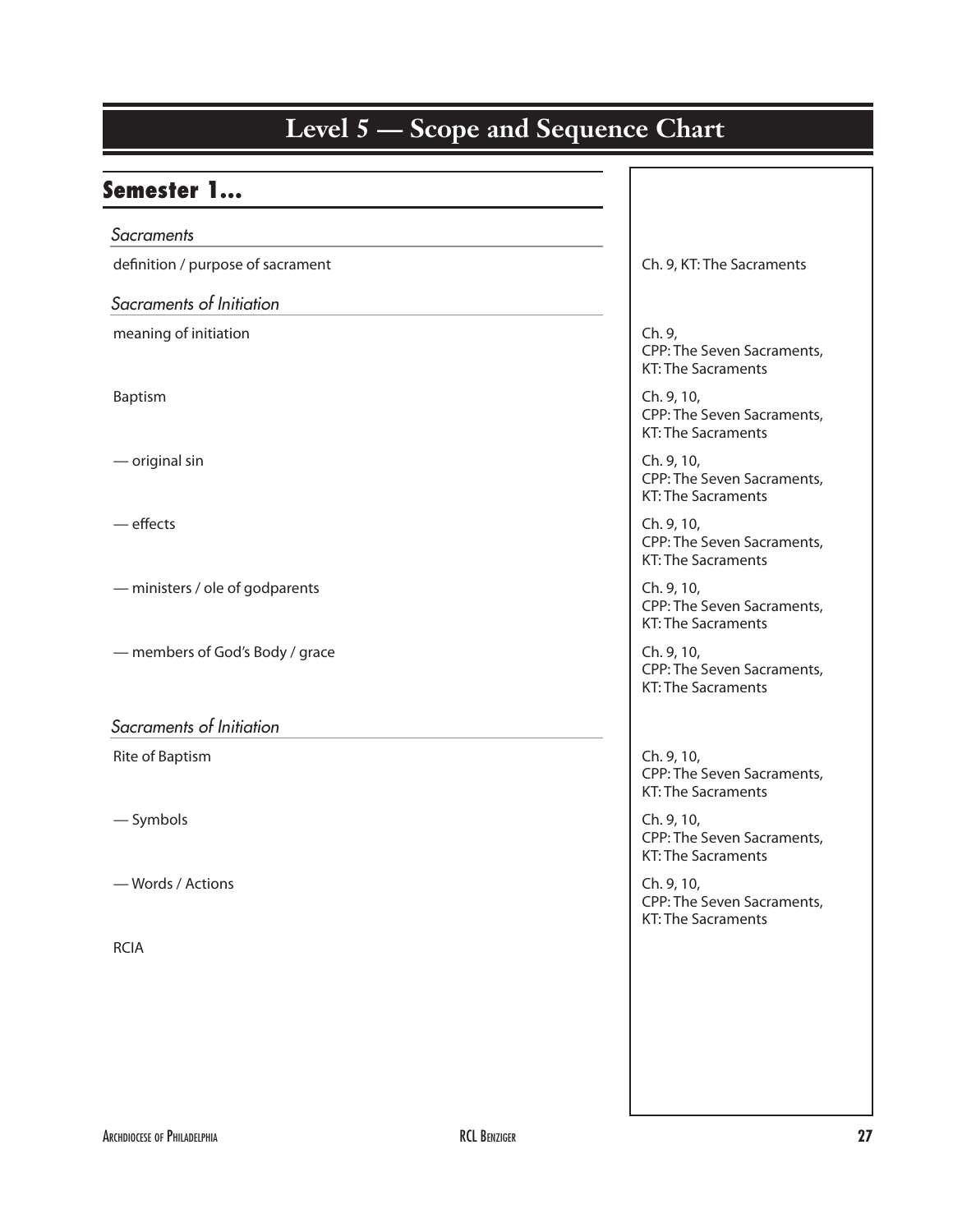#### **Kindergarten Level 5 — Scope and Sequence Chart** Semester 1… *Sacraments*  definition / purpose of sacrament definition / purpose of sacraments *Sacraments of Initiation* meaning of initiation and the change of initiation and the change of the change of the change of the change of  $\Box$ CPP: The Seven Sacraments, KT: The Sacraments Baptism **Ch. 9, 10, and Ch. 9, 10, and Ch. 9, 10, and Ch. 9, 10, and Ch. 9, 10, and Ch. 9, 10, and Ch. 9, 10, and Ch. 9, 10, and Ch. 9, 10, and Ch. 9, 10, and Ch. 9, 10, and Ch. 9, 10, and Ch. 9, 10, and Ch. 9, 10, and Ch.** CPP: The Seven Sacraments, KT: The Sacraments — original sin **Ch. 9, 10, and September 2016** Ch. 9, 10, CPP: The Seven Sacraments, KT: The Sacraments — effects **Ch. 9, 10,** Ch. 9, 10, CPP: The Seven Sacraments, KT: The Sacraments — ministers / ole of godparents **Ch. 9, 10, and 10** Ch. 9, 10, CPP: The Seven Sacraments, KT: The Sacraments — members of God's Body / grace Changes Ch. 9, 10, CPP: The Seven Sacraments, KT: The Sacraments *Sacraments of Initiation* Rite of Baptism Ch. 9, 10, CPP: The Seven Sacraments, KT: The Sacraments  $\blacksquare$  Symbols  $\blacksquare$  Symbols  $\blacksquare$ CPP: The Seven Sacraments, KT: The Sacraments — Words / Actions **Channel Actions** Channel Actions **Channel Actions** Ch. 9, 10, 2006 CPP: The Seven Sacraments, KT: The Sacraments RCIA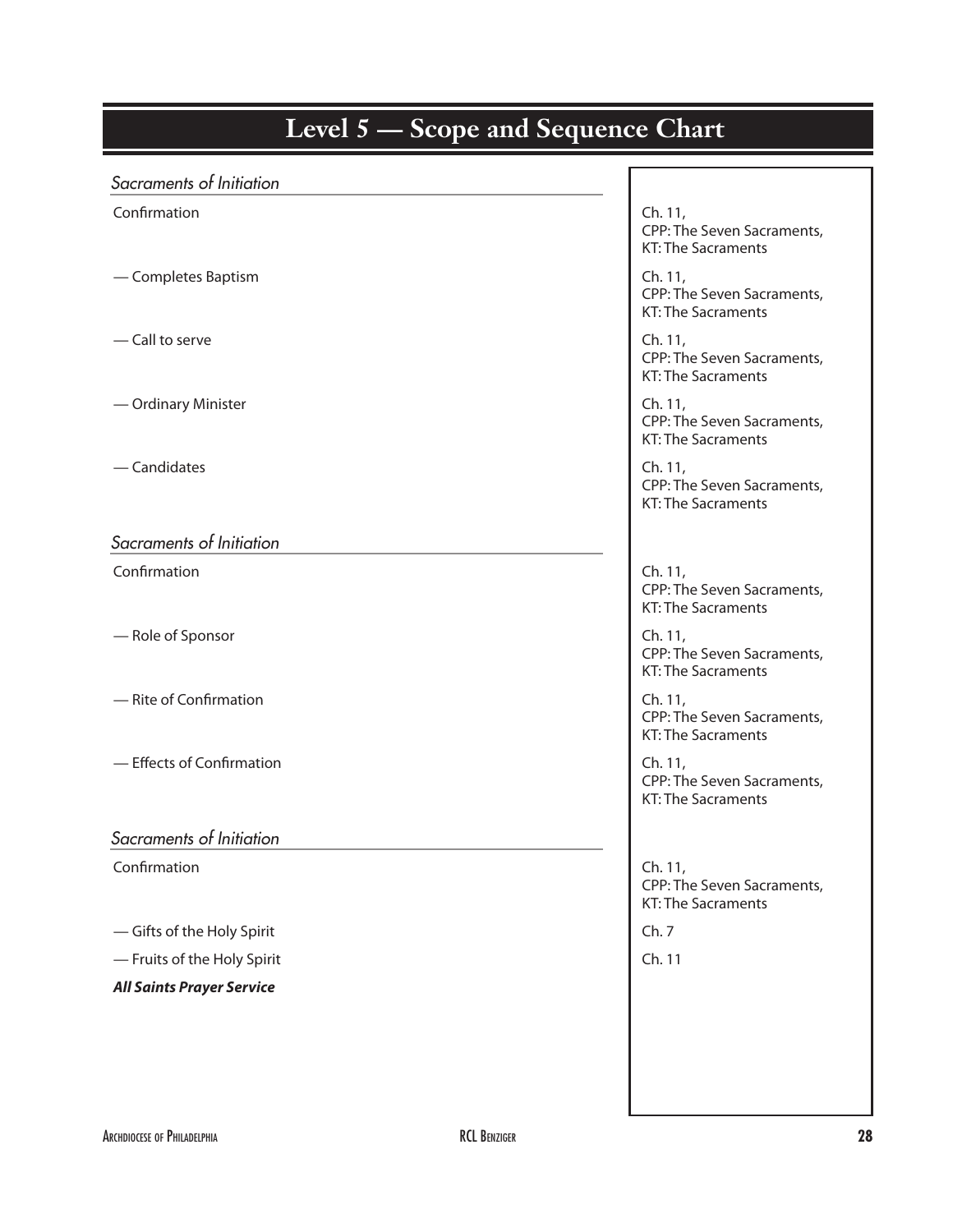#### Level 5 – Scope and Sequence Chart *Sacraments of Initiation* Confirmation Confirmation Confirmation Confirmation Confirmation Confirmation Confirmation Confirmation Control Control Control Control Control Control Control Control Control Control Control Control Control Control Contro CPP: The Seven Sacraments, KT: The Sacraments — Completes Baptism **Ch. 11, Equation Ch. 11, Ch. 11**, CPP: The Seven Sacraments, KT: The Sacraments — Call to serve Channel Ch. 11, CPP: The Seven Sacraments, KT: The Sacraments — Ordinary Minister **Ch. 11, and Ch. 11, and Ch. 11**, CPP: The Seven Sacraments, KT: The Sacraments — Candidates **Ch. 11, Executive Ch. 11, Executive Ch. 11**, Ch. 11, CPP: The Seven Sacraments, KT: The Sacraments *Sacraments of Initiation* Confirmation Confirmation Confirmation Confirmation Confirmation Confirmation Confirmation Confirmation Confirmation Confirmation Confirmation Confirmation Confirmation Confirmation Confirmation Confirmation Confirmation C CPP: The Seven Sacraments, KT: The Sacraments — Role of Sponsor Changes and Ch. 11, and Ch. 11, and Ch. 11, and Ch. 11, and Ch. 11, and Ch. 11, and Ch. 11, and Ch. 11, and Ch. 11, and Ch. 11, and Ch. 11, and Ch. 11, and Ch. 11, and Ch. 11, and Ch. 11, and Ch. 11, and CPP: The Seven Sacraments, KT: The Sacraments — Rite of Confirmation **Channel Ch. 11, and Ch. 11, and Ch. 11**, ch. 11, CPP: The Seven Sacraments, KT: The Sacraments — Effects of Confirmation **Ch. 11, and Effects** of Confirmation CPP: The Seven Sacraments, KT: The Sacraments *Sacraments of Initiation* Confirmation Confirmation Confirmation Ch. 11, CPP: The Seven Sacraments, KT: The Sacraments — Gifts of the Holy Spirit Ch. 7 — Fruits of the Holy Spirit Ch. 11 *All Saints Prayer Service*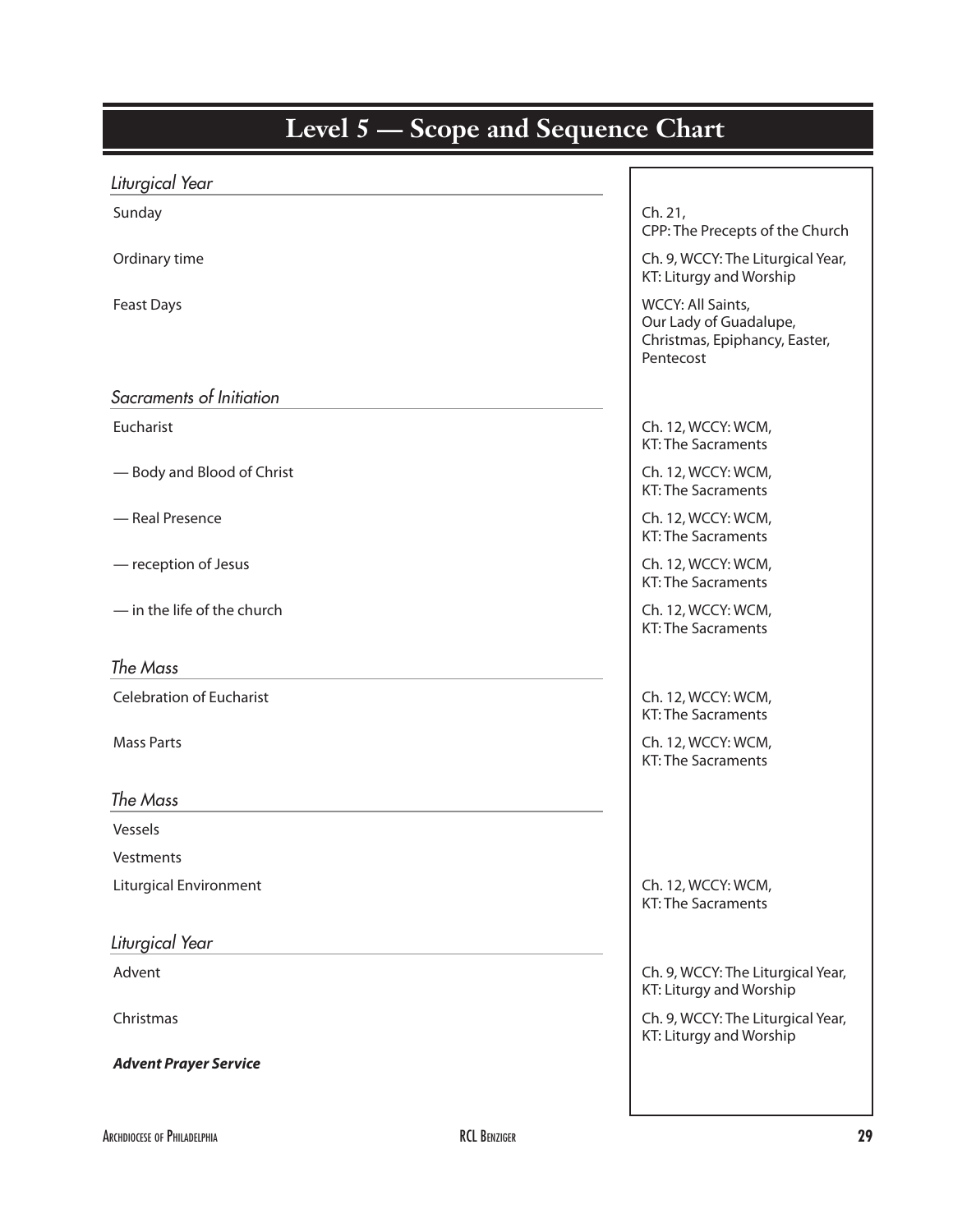| Level $\beta$ $\rightarrow$ Scope and Sequence Unart |                                                                                           |
|------------------------------------------------------|-------------------------------------------------------------------------------------------|
| Liturgical Year                                      |                                                                                           |
| Sunday                                               | Ch. 21,<br>CPP: The Precepts of the Church                                                |
| Ordinary time                                        | Ch. 9, WCCY: The Liturgical Year,<br>KT: Liturgy and Worship                              |
| <b>Feast Days</b>                                    | WCCY: All Saints,<br>Our Lady of Guadalupe,<br>Christmas, Epiphancy, Easter,<br>Pentecost |
| Sacraments of Initiation                             |                                                                                           |
| Eucharist                                            | Ch. 12, WCCY: WCM,<br><b>KT: The Sacraments</b>                                           |
| - Body and Blood of Christ                           | Ch. 12, WCCY: WCM,<br><b>KT: The Sacraments</b>                                           |
| - Real Presence                                      | Ch. 12, WCCY: WCM,<br><b>KT: The Sacraments</b>                                           |
| - reception of Jesus                                 | Ch. 12, WCCY: WCM,<br><b>KT: The Sacraments</b>                                           |
| - in the life of the church                          | Ch. 12, WCCY: WCM,<br><b>KT: The Sacraments</b>                                           |
| The Mass                                             |                                                                                           |
| <b>Celebration of Eucharist</b>                      | Ch. 12, WCCY: WCM,                                                                        |
|                                                      | <b>KT: The Sacraments</b>                                                                 |
| <b>Mass Parts</b>                                    | Ch. 12, WCCY: WCM,<br><b>KT: The Sacraments</b>                                           |
| The Mass                                             |                                                                                           |
| Vessels                                              |                                                                                           |
| Vestments                                            |                                                                                           |
| <b>Liturgical Environment</b>                        | Ch. 12, WCCY: WCM,<br><b>KT: The Sacraments</b>                                           |
| Liturgical Year                                      |                                                                                           |
| Advent                                               | Ch. 9, WCCY: The Liturgical Year,<br>KT: Liturgy and Worship                              |
| Christmas                                            | Ch. 9, WCCY: The Liturgical Year,<br>KT: Liturgy and Worship                              |
| <b>Advent Prayer Service</b>                         |                                                                                           |
|                                                      |                                                                                           |

**Kindergarten Level 5 — Scope and Sequence Chart Kindergarten**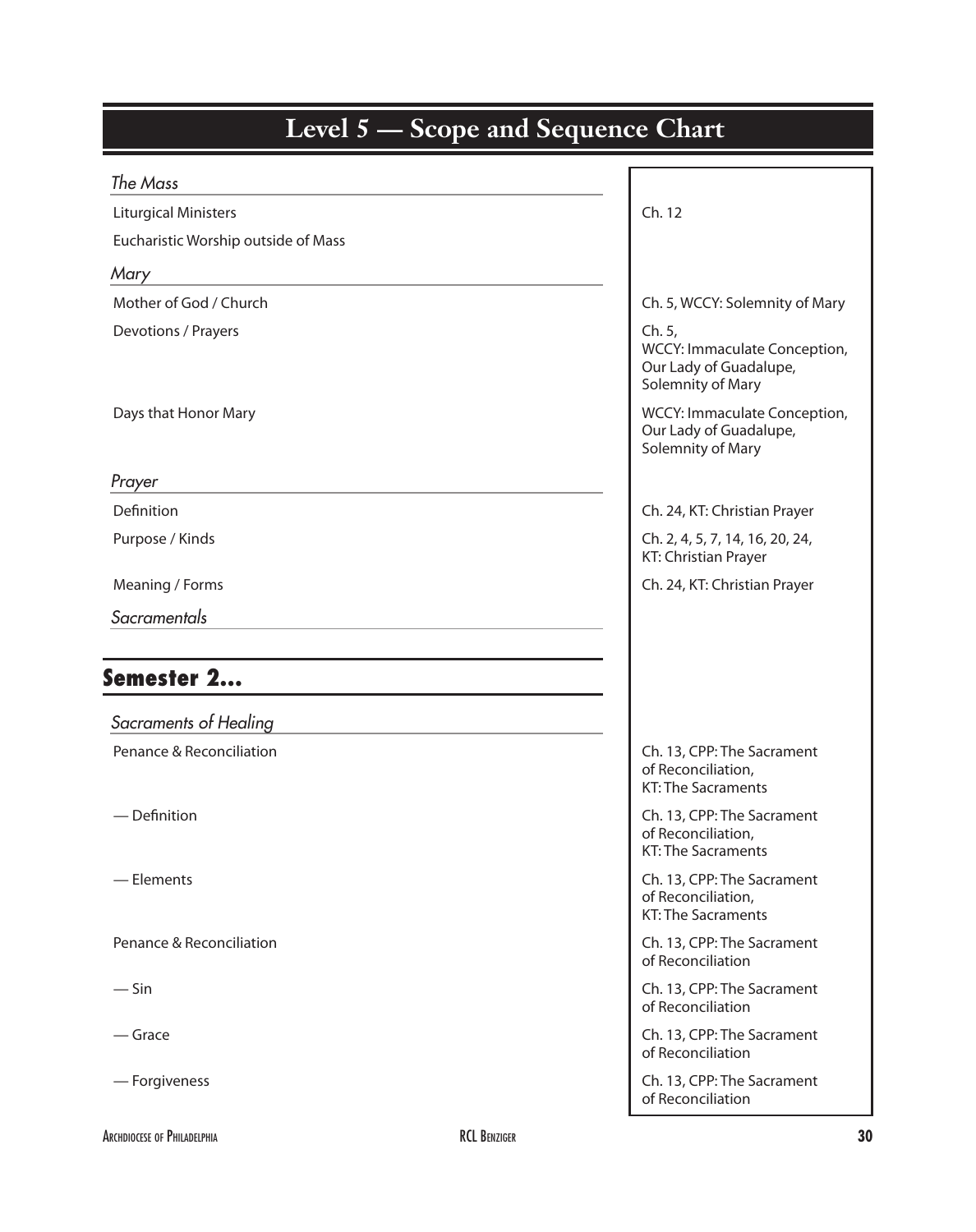| <b>Level 5 — Scope and Sequence Chart</b> |                                                                                       |
|-------------------------------------------|---------------------------------------------------------------------------------------|
| The Mass                                  |                                                                                       |
| <b>Liturgical Ministers</b>               | Ch. 12                                                                                |
| Eucharistic Worship outside of Mass       |                                                                                       |
| Mary                                      |                                                                                       |
| Mother of God / Church                    | Ch. 5, WCCY: Solemnity of Mary                                                        |
| Devotions / Prayers                       | Ch. 5,<br>WCCY: Immaculate Conception,<br>Our Lady of Guadalupe,<br>Solemnity of Mary |
| Days that Honor Mary                      | WCCY: Immaculate Conception,<br>Our Lady of Guadalupe,<br>Solemnity of Mary           |
| Prayer                                    |                                                                                       |
| Definition                                | Ch. 24, KT: Christian Prayer                                                          |
| Purpose / Kinds                           | Ch. 2, 4, 5, 7, 14, 16, 20, 24,<br>KT: Christian Prayer                               |
| Meaning / Forms                           | Ch. 24, KT: Christian Prayer                                                          |
| Sacramentals                              |                                                                                       |
| Semester 2                                |                                                                                       |
| Sacraments of Healing                     |                                                                                       |
| Penance & Reconciliation                  | Ch. 13, CPP: The Sacrament<br>of Reconciliation,<br><b>KT: The Sacraments</b>         |
| $-$ Definition                            | Ch. 13, CPP: The Sacrament<br>of Reconciliation,<br><b>KT: The Sacraments</b>         |
| - Elements                                | Ch. 13, CPP: The Sacrament<br>of Reconciliation,<br><b>KT: The Sacraments</b>         |
| Penance & Reconciliation                  | Ch. 13, CPP: The Sacrament<br>of Reconciliation                                       |
| $-\sin$                                   | Ch. 13, CPP: The Sacrament<br>of Reconciliation                                       |
| — Grace                                   | Ch. 13, CPP: The Sacrament<br>of Reconciliation                                       |
| - Forgiveness                             | Ch. 13, CPP: The Sacrament<br>of Reconciliation                                       |

I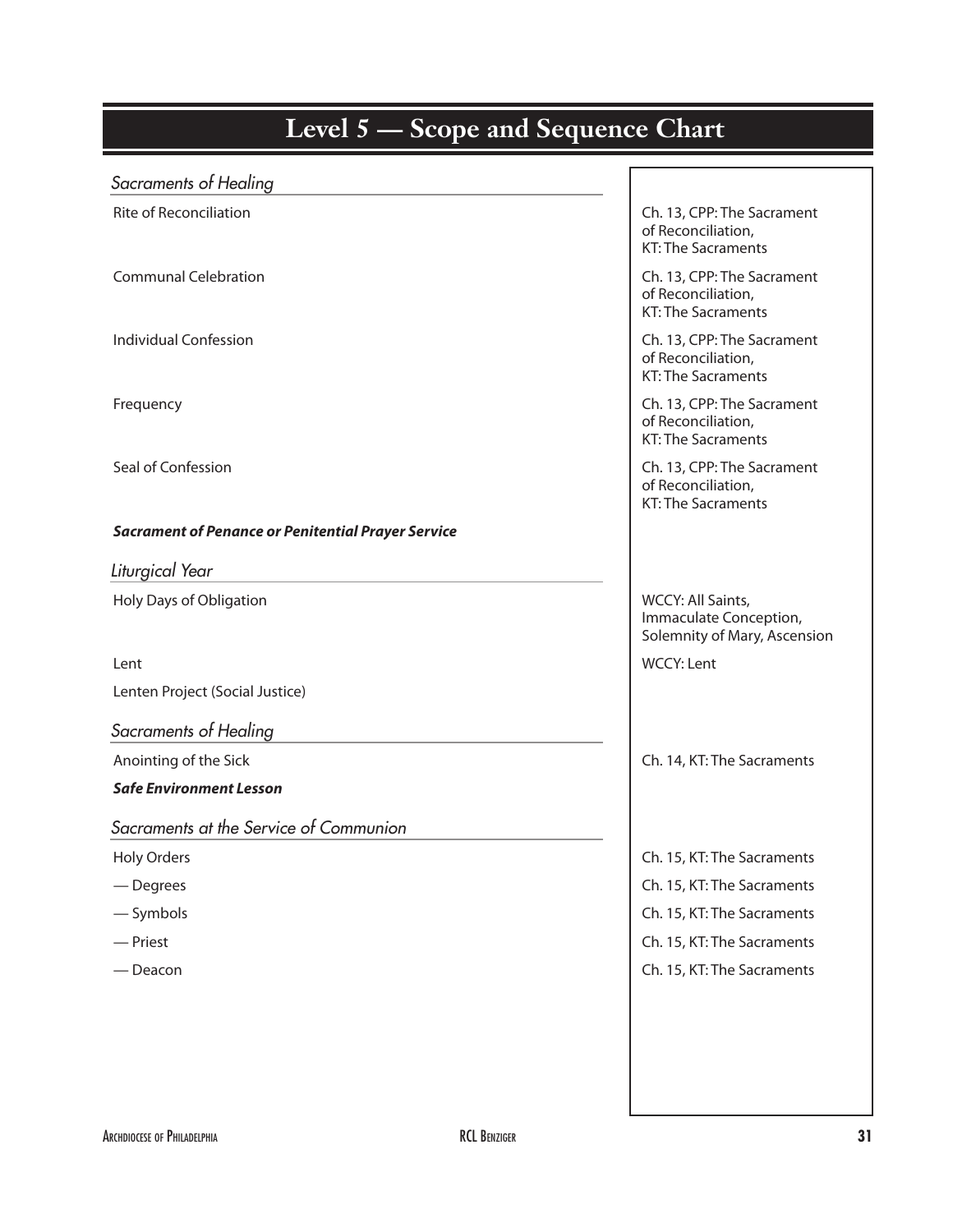# **Kinder Edger 2 Scope and Sequence Chart**

| Sacraments of Healing                                     |                                                                               |
|-----------------------------------------------------------|-------------------------------------------------------------------------------|
| <b>Rite of Reconciliation</b>                             | Ch. 13, CPP: The Sacrament<br>of Reconciliation,<br><b>KT: The Sacraments</b> |
| <b>Communal Celebration</b>                               | Ch. 13, CPP: The Sacrament<br>of Reconciliation,<br><b>KT: The Sacraments</b> |
| <b>Individual Confession</b>                              | Ch. 13, CPP: The Sacrament<br>of Reconciliation,<br><b>KT: The Sacraments</b> |
| Frequency                                                 | Ch. 13, CPP: The Sacrament<br>of Reconciliation,<br><b>KT: The Sacraments</b> |
| Seal of Confession                                        | Ch. 13, CPP: The Sacrament<br>of Reconciliation,<br><b>KT: The Sacraments</b> |
| <b>Sacrament of Penance or Penitential Prayer Service</b> |                                                                               |
| Liturgical Year                                           |                                                                               |
| Holy Days of Obligation                                   | WCCY: All Saints,<br>Immaculate Conception,<br>Solemnity of Mary, Ascension   |
| Lent                                                      | <b>WCCY: Lent</b>                                                             |
| Lenten Project (Social Justice)                           |                                                                               |
| Sacraments of Healing                                     |                                                                               |
| Anointing of the Sick                                     | Ch. 14, KT: The Sacraments                                                    |
| <b>Safe Environment Lesson</b>                            |                                                                               |
| Sacraments at the Service of Communion                    |                                                                               |
| <b>Holy Orders</b>                                        | Ch. 15, KT: The Sacraments                                                    |
| — Degrees                                                 | Ch. 15, KT: The Sacraments                                                    |
| $-$ Symbols                                               | Ch. 15, KT: The Sacraments                                                    |
| - Priest                                                  | Ch. 15, KT: The Sacraments                                                    |
| — Deacon                                                  | Ch. 15, KT: The Sacraments                                                    |
|                                                           |                                                                               |
|                                                           |                                                                               |
|                                                           |                                                                               |
|                                                           |                                                                               |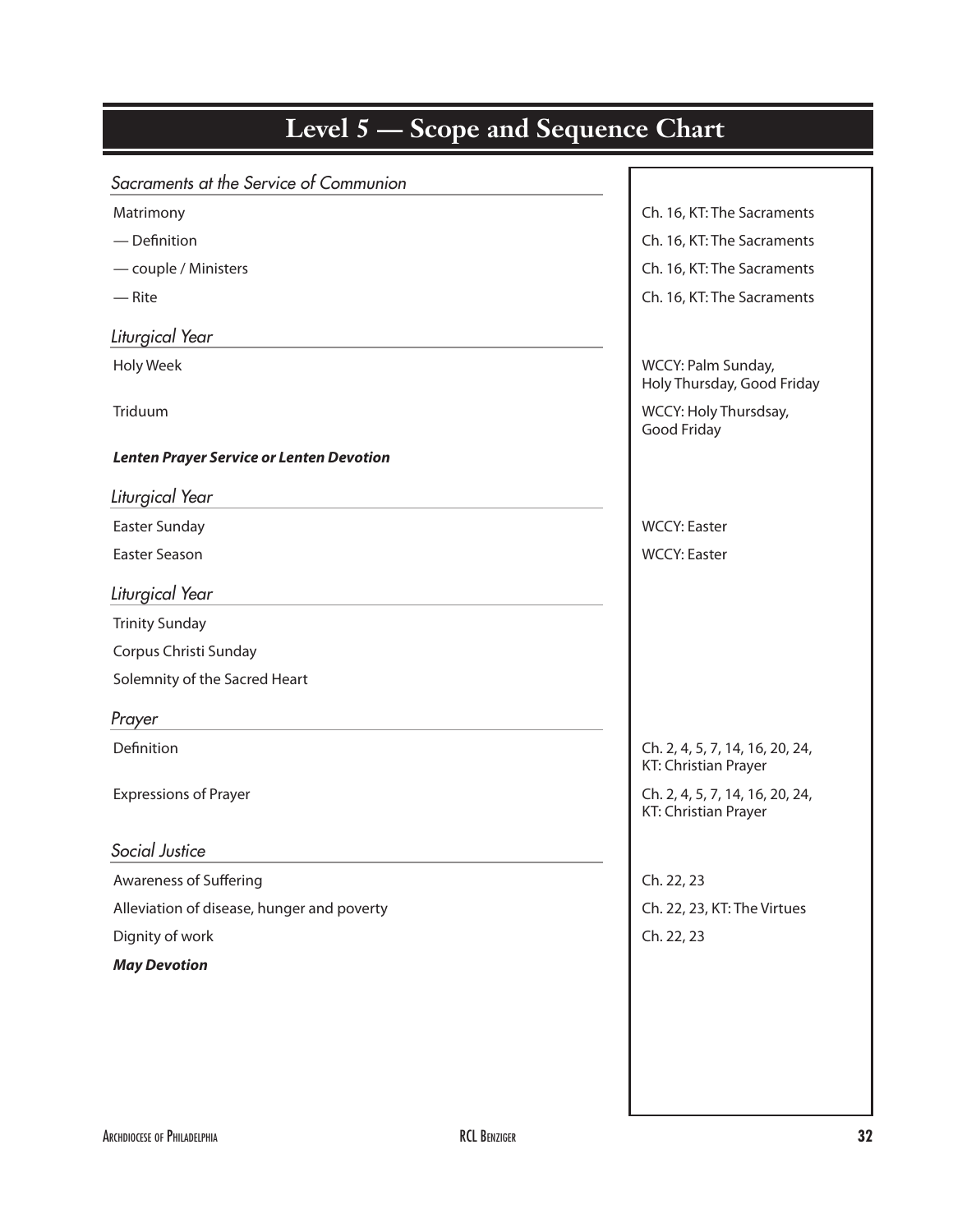| <b>Level 5 — Scope and Sequence Chart</b>       |                                                         |
|-------------------------------------------------|---------------------------------------------------------|
| Sacraments at the Service of Communion          |                                                         |
| Matrimony                                       | Ch. 16, KT: The Sacraments                              |
| - Definition                                    | Ch. 16, KT: The Sacraments                              |
| - couple / Ministers                            | Ch. 16, KT: The Sacraments                              |
| $-$ Rite                                        | Ch. 16, KT: The Sacraments                              |
| Liturgical Year                                 |                                                         |
| Holy Week                                       | WCCY: Palm Sunday,<br>Holy Thursday, Good Friday        |
| Triduum                                         | WCCY: Holy Thursdsay,<br>Good Friday                    |
| <b>Lenten Prayer Service or Lenten Devotion</b> |                                                         |
| Liturgical Year                                 |                                                         |
| Easter Sunday                                   | <b>WCCY: Easter</b>                                     |
| Easter Season                                   | <b>WCCY: Easter</b>                                     |
| Liturgical Year                                 |                                                         |
| <b>Trinity Sunday</b>                           |                                                         |
| Corpus Christi Sunday                           |                                                         |
| Solemnity of the Sacred Heart                   |                                                         |
| Prayer                                          |                                                         |
| Definition                                      | Ch. 2, 4, 5, 7, 14, 16, 20, 24,<br>KT: Christian Prayer |
| <b>Expressions of Prayer</b>                    | Ch. 2, 4, 5, 7, 14, 16, 20, 24,<br>KT: Christian Prayer |
| Social Justice                                  |                                                         |
| <b>Awareness of Suffering</b>                   | Ch. 22, 23                                              |
| Alleviation of disease, hunger and poverty      | Ch. 22, 23, KT: The Virtues                             |
| Dignity of work                                 | Ch. 22, 23                                              |
| <b>May Devotion</b>                             |                                                         |
|                                                 |                                                         |
|                                                 |                                                         |
|                                                 |                                                         |
|                                                 |                                                         |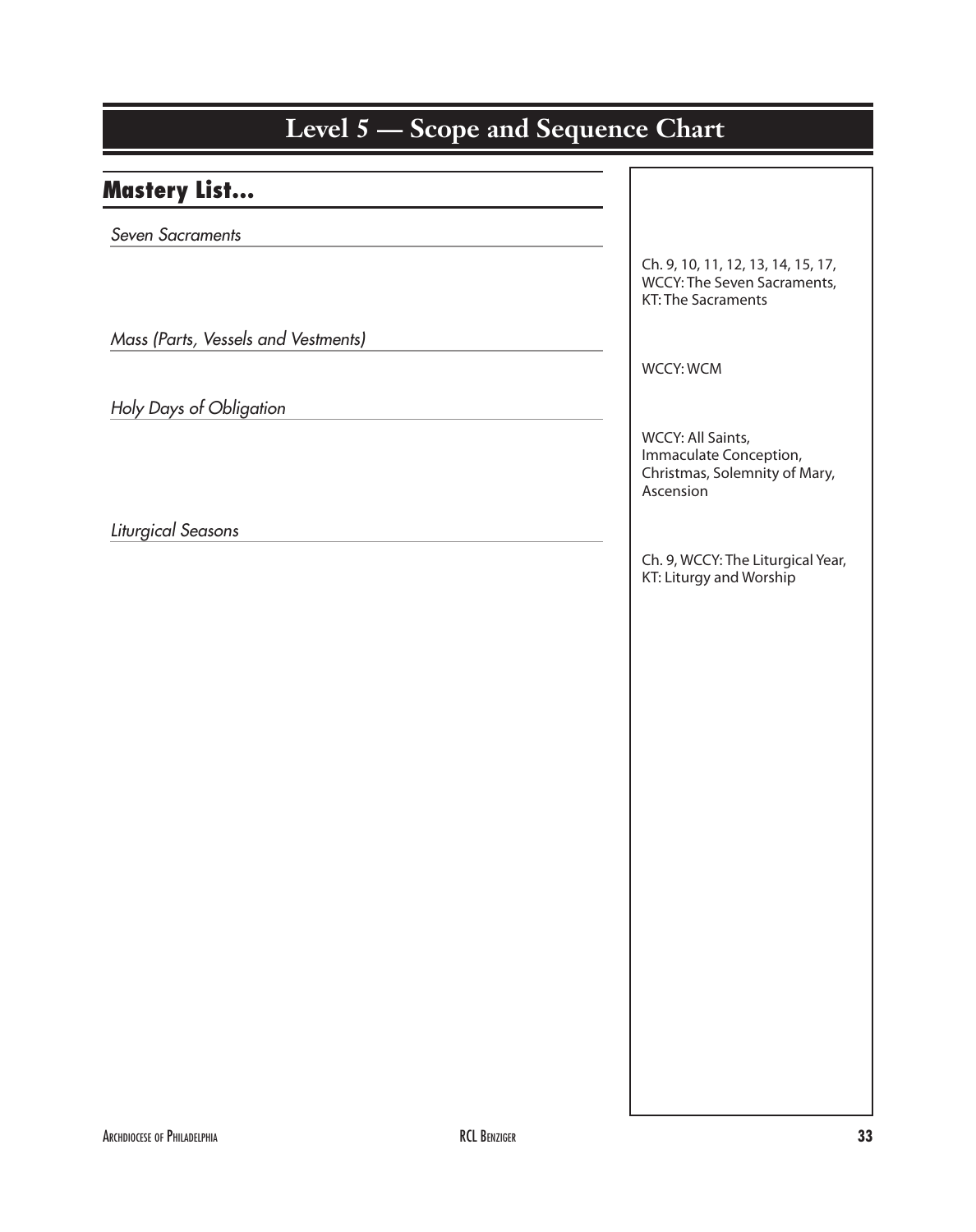| Level 5 – Scope and Sequence Chart  |                                                                                           |
|-------------------------------------|-------------------------------------------------------------------------------------------|
| <b>Mastery List</b>                 |                                                                                           |
| Seven Sacraments                    |                                                                                           |
|                                     | Ch. 9, 10, 11, 12, 13, 14, 15, 17,<br>WCCY: The Seven Sacraments,<br>KT: The Sacraments   |
| Mass (Parts, Vessels and Vestments) |                                                                                           |
|                                     | <b>WCCY: WCM</b>                                                                          |
| Holy Days of Obligation             |                                                                                           |
|                                     | WCCY: All Saints,<br>Immaculate Conception,<br>Christmas, Solemnity of Mary,<br>Ascension |
| Liturgical Seasons                  |                                                                                           |
|                                     | Ch. 9, WCCY: The Liturgical Year,<br>KT: Liturgy and Worship                              |
|                                     |                                                                                           |
|                                     |                                                                                           |
|                                     |                                                                                           |
|                                     |                                                                                           |
|                                     |                                                                                           |
|                                     |                                                                                           |
|                                     |                                                                                           |
|                                     |                                                                                           |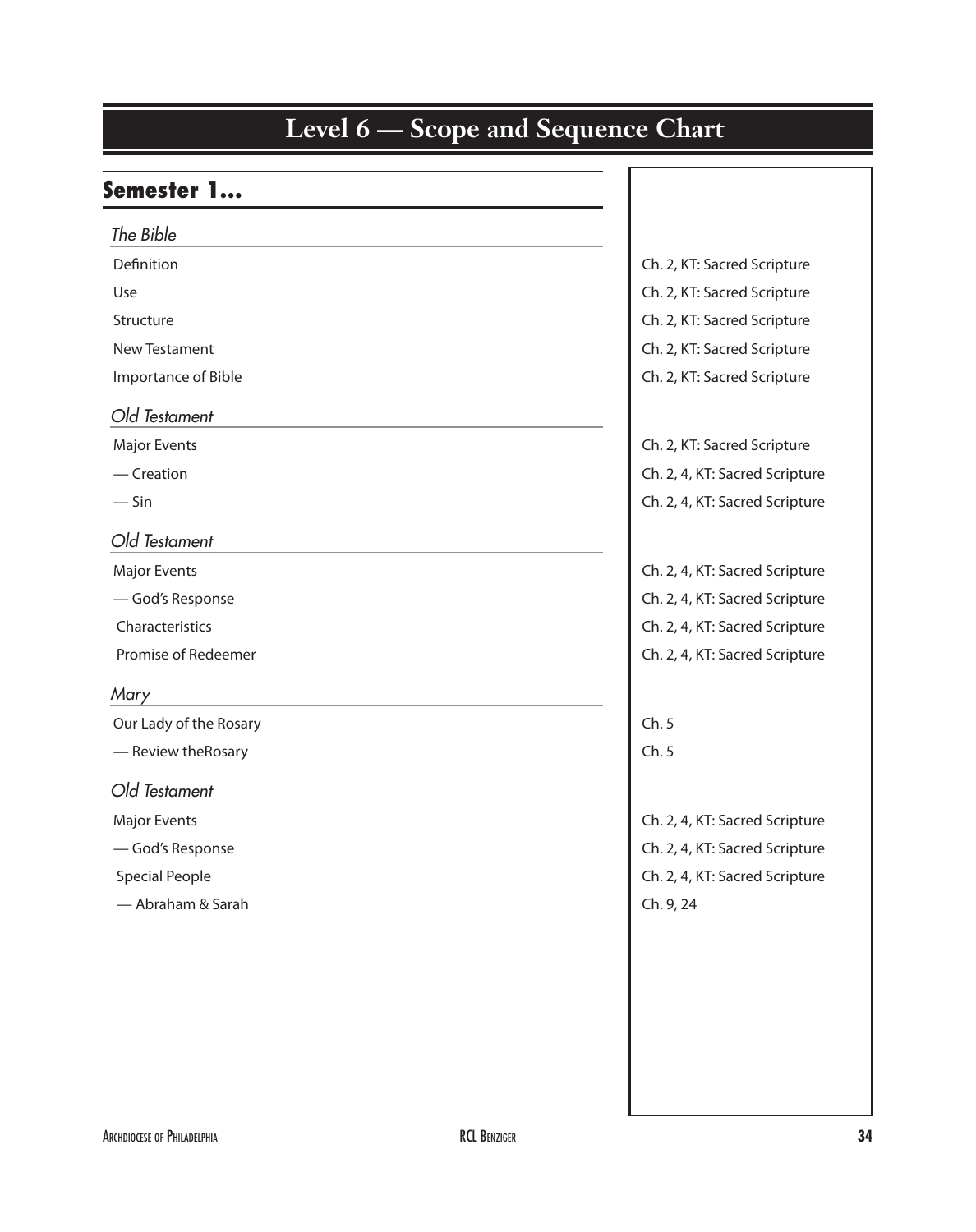#### Semester 1…

| The Bible              |                                |
|------------------------|--------------------------------|
| Definition             | Ch. 2, KT: Sacred Scripture    |
| Use                    | Ch. 2, KT: Sacred Scripture    |
| Structure              | Ch. 2, KT: Sacred Scripture    |
| New Testament          | Ch. 2, KT: Sacred Scripture    |
| Importance of Bible    | Ch. 2, KT: Sacred Scripture    |
| Old Testament          |                                |
| <b>Major Events</b>    | Ch. 2, KT: Sacred Scripture    |
| $-$ Creation           | Ch. 2, 4, KT: Sacred Scripture |
| $-\sin$                | Ch. 2, 4, KT: Sacred Scripture |
| Old Testament          |                                |
| <b>Major Events</b>    | Ch. 2, 4, KT: Sacred Scripture |
| -God's Response        | Ch. 2, 4, KT: Sacred Scripture |
| Characteristics        | Ch. 2, 4, KT: Sacred Scripture |
| Promise of Redeemer    | Ch. 2, 4, KT: Sacred Scripture |
| Mary                   |                                |
| Our Lady of the Rosary | Ch.5                           |
| - Review the Rosary    | Ch.5                           |
| Old Testament          |                                |
| <b>Major Events</b>    | Ch. 2, 4, KT: Sacred Scripture |
| -God's Response        | Ch. 2, 4, KT: Sacred Scripture |
| <b>Special People</b>  | Ch. 2, 4, KT: Sacred Scripture |
| - Abraham & Sarah      | Ch. 9, 24                      |
|                        |                                |
|                        |                                |
|                        |                                |
|                        |                                |
|                        |                                |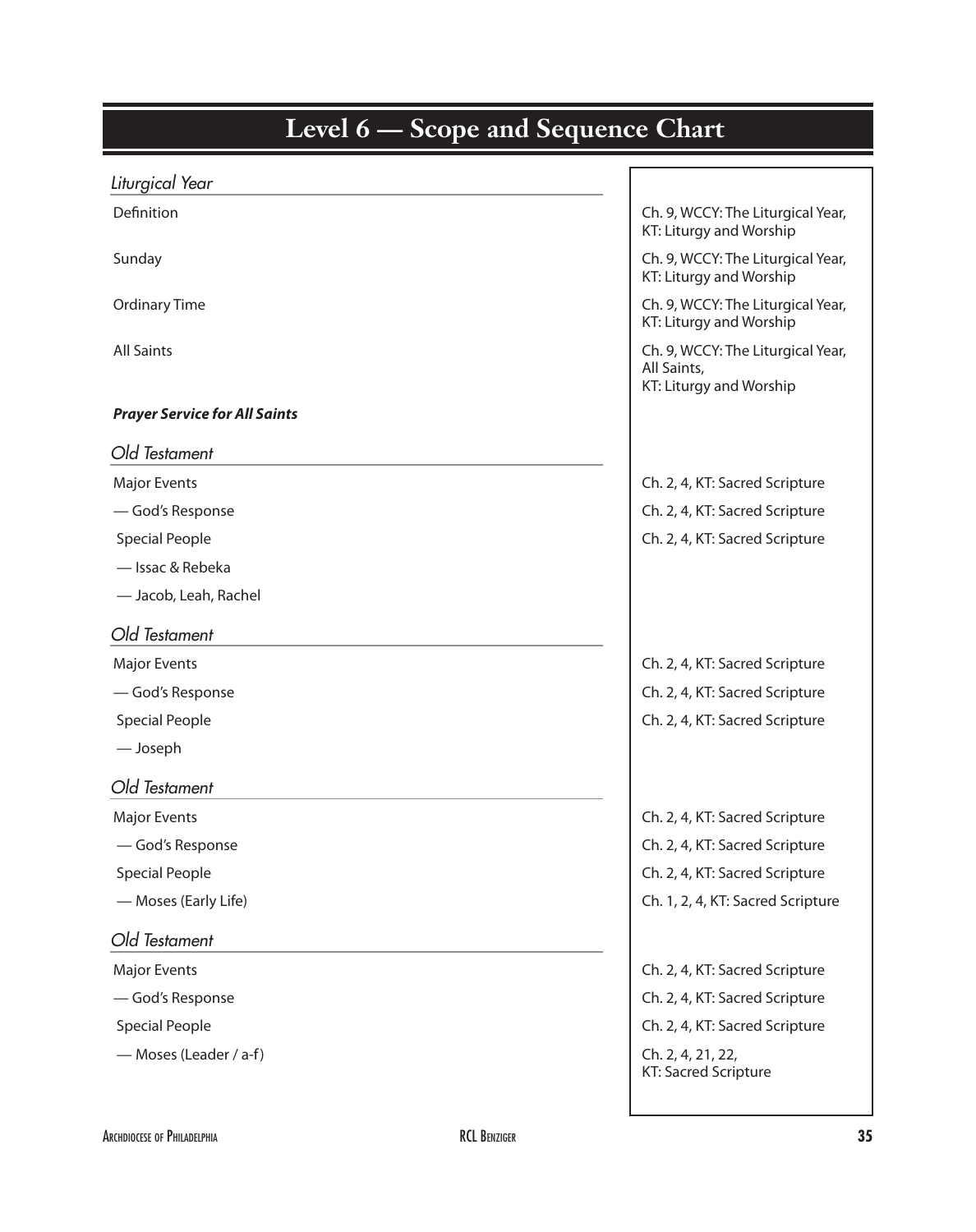| <b>Level 6 — Scope and Sequence Chart</b> |                                                                             |
|-------------------------------------------|-----------------------------------------------------------------------------|
| Liturgical Year                           |                                                                             |
| Definition                                | Ch. 9, WCCY: The Liturgical Year,<br>KT: Liturgy and Worship                |
| Sunday                                    | Ch. 9, WCCY: The Liturgical Year,<br>KT: Liturgy and Worship                |
| <b>Ordinary Time</b>                      | Ch. 9, WCCY: The Liturgical Year,<br>KT: Liturgy and Worship                |
| <b>All Saints</b>                         | Ch. 9, WCCY: The Liturgical Year,<br>All Saints,<br>KT: Liturgy and Worship |
| <b>Prayer Service for All Saints</b>      |                                                                             |
| Old Testament                             |                                                                             |
| <b>Major Events</b>                       | Ch. 2, 4, KT: Sacred Scripture                                              |
| -God's Response                           | Ch. 2, 4, KT: Sacred Scripture                                              |
| <b>Special People</b>                     | Ch. 2, 4, KT: Sacred Scripture                                              |
| - Issac & Rebeka                          |                                                                             |
| - Jacob, Leah, Rachel                     |                                                                             |
| Old Testament                             |                                                                             |
| <b>Major Events</b>                       | Ch. 2, 4, KT: Sacred Scripture                                              |
| -God's Response                           | Ch. 2, 4, KT: Sacred Scripture                                              |
| <b>Special People</b>                     | Ch. 2, 4, KT: Sacred Scripture                                              |
| — Joseph                                  |                                                                             |
| Old Testament                             |                                                                             |
| <b>Major Events</b>                       | Ch. 2, 4, KT: Sacred Scripture                                              |
| -God's Response                           | Ch. 2, 4, KT: Sacred Scripture                                              |
| <b>Special People</b>                     | Ch. 2, 4, KT: Sacred Scripture                                              |
| - Moses (Early Life)                      | Ch. 1, 2, 4, KT: Sacred Scripture                                           |
| Old Testament                             |                                                                             |
| <b>Major Events</b>                       | Ch. 2, 4, KT: Sacred Scripture                                              |
| -God's Response                           | Ch. 2, 4, KT: Sacred Scripture                                              |
| <b>Special People</b>                     | Ch. 2, 4, KT: Sacred Scripture                                              |
| - Moses (Leader / a-f)                    | Ch. 2, 4, 21, 22,<br>KT: Sacred Scripture                                   |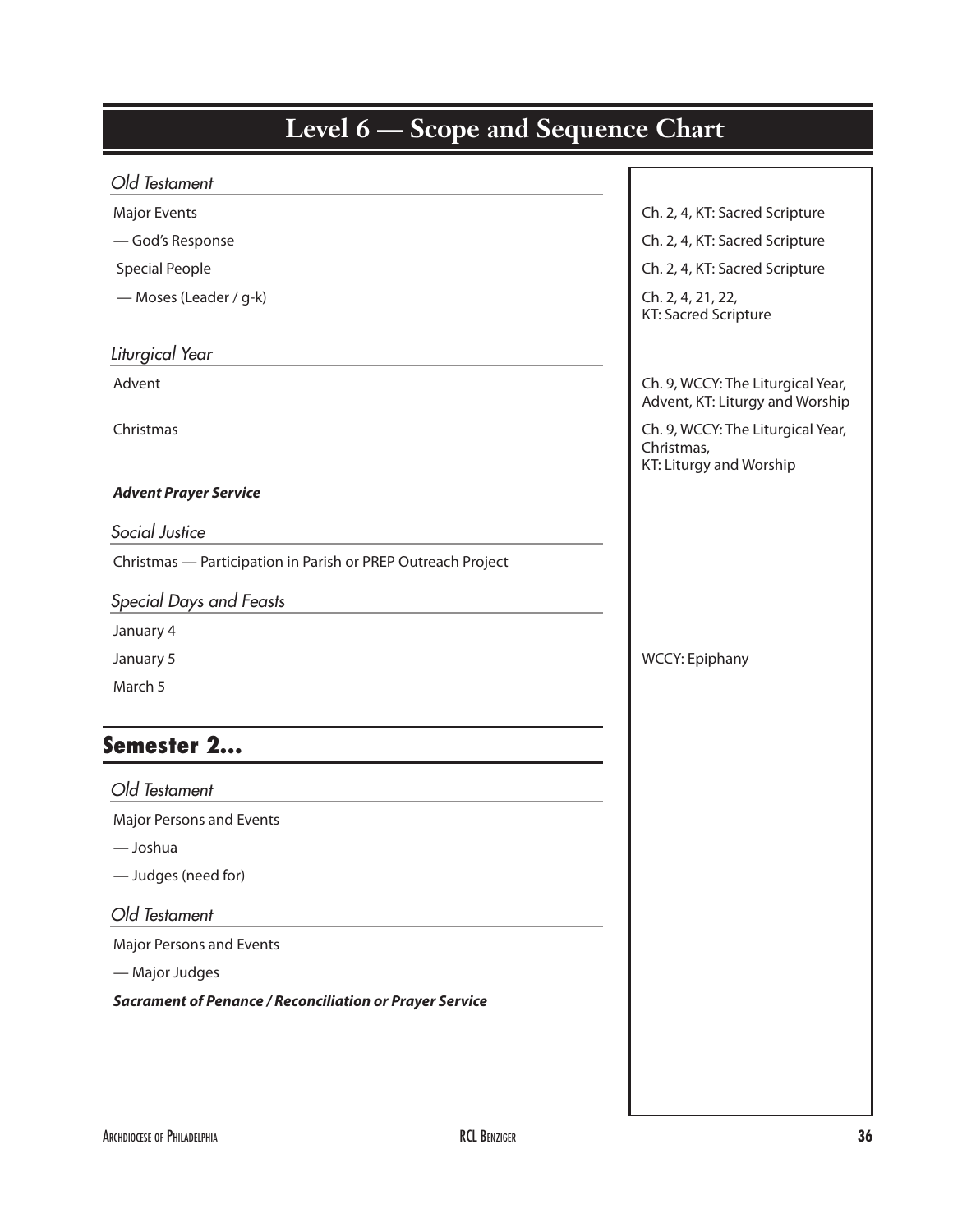| Level 6 – Scope and Sequence Chart                             |                                                                            |
|----------------------------------------------------------------|----------------------------------------------------------------------------|
| Old Testament                                                  |                                                                            |
| <b>Major Events</b>                                            | Ch. 2, 4, KT: Sacred Scripture                                             |
| -God's Response                                                | Ch. 2, 4, KT: Sacred Scripture                                             |
| <b>Special People</b>                                          | Ch. 2, 4, KT: Sacred Scripture                                             |
| - Moses (Leader / g-k)                                         | Ch. 2, 4, 21, 22,<br>KT: Sacred Scripture                                  |
| Liturgical Year                                                |                                                                            |
| Advent                                                         | Ch. 9, WCCY: The Liturgical Year,<br>Advent, KT: Liturgy and Worship       |
| Christmas                                                      | Ch. 9, WCCY: The Liturgical Year,<br>Christmas,<br>KT: Liturgy and Worship |
| <b>Advent Prayer Service</b>                                   |                                                                            |
| Social Justice                                                 |                                                                            |
| Christmas - Participation in Parish or PREP Outreach Project   |                                                                            |
| Special Days and Feasts                                        |                                                                            |
| January 4                                                      |                                                                            |
| January 5                                                      | <b>WCCY: Epiphany</b>                                                      |
| March 5                                                        |                                                                            |
| Semester 2.                                                    |                                                                            |
| Old Testament                                                  |                                                                            |
| Major Persons and Events                                       |                                                                            |
| — Joshua                                                       |                                                                            |
| - Judges (need for)                                            |                                                                            |
| Old Testament                                                  |                                                                            |
| Major Persons and Events                                       |                                                                            |
| - Major Judges                                                 |                                                                            |
| <b>Sacrament of Penance / Reconciliation or Prayer Service</b> |                                                                            |
|                                                                |                                                                            |
|                                                                |                                                                            |
|                                                                |                                                                            |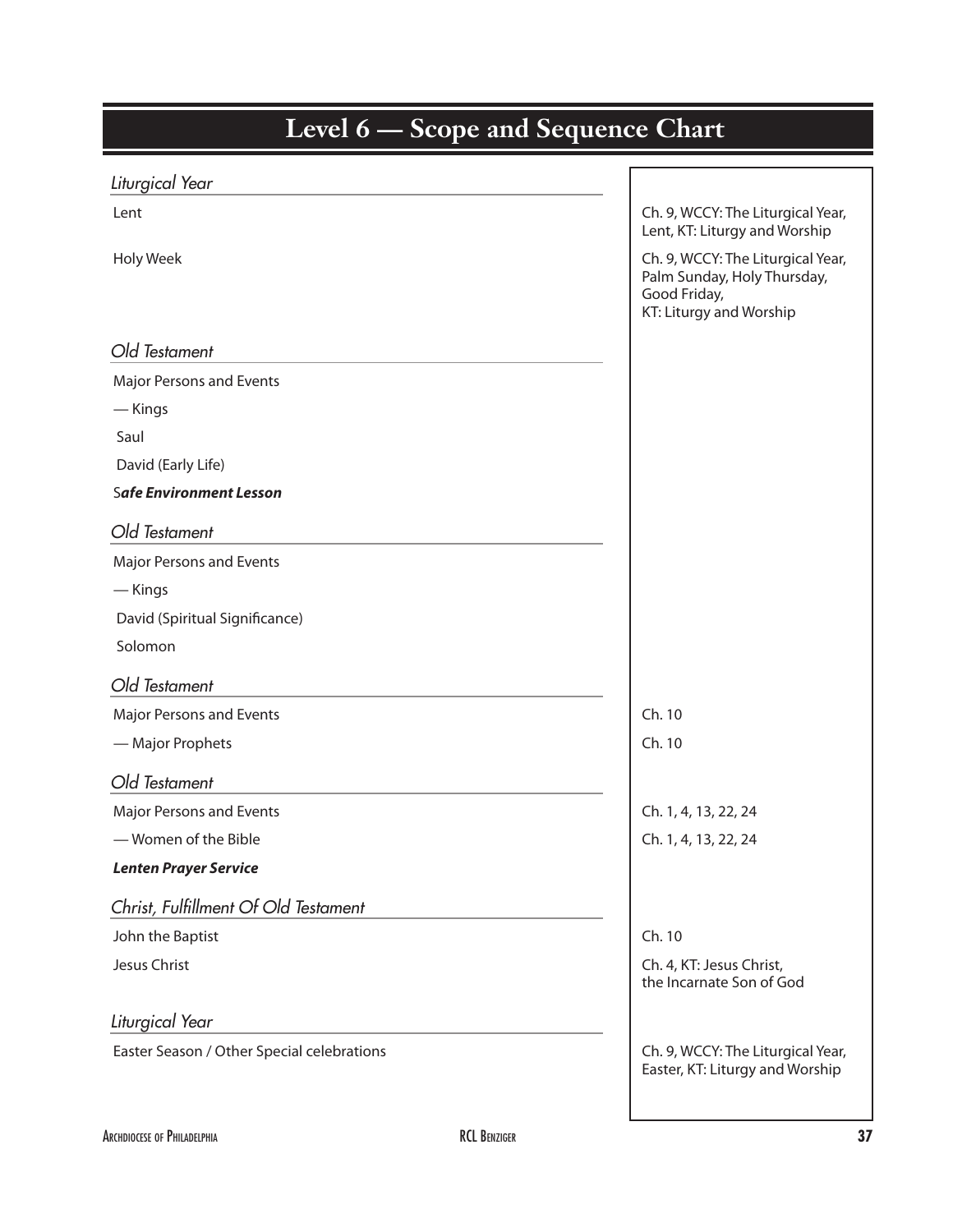| <b>Level 6 – Scope and Sequence Chart</b>  |                                                                                                             |
|--------------------------------------------|-------------------------------------------------------------------------------------------------------------|
| Liturgical Year                            |                                                                                                             |
| Lent                                       | Ch. 9, WCCY: The Liturgical Year,<br>Lent, KT: Liturgy and Worship                                          |
| Holy Week                                  | Ch. 9, WCCY: The Liturgical Year,<br>Palm Sunday, Holy Thursday,<br>Good Friday,<br>KT: Liturgy and Worship |
| Old Testament                              |                                                                                                             |
| Major Persons and Events                   |                                                                                                             |
| — Kings                                    |                                                                                                             |
| Saul                                       |                                                                                                             |
| David (Early Life)                         |                                                                                                             |
| <b>Safe Environment Lesson</b>             |                                                                                                             |
| Old Testament                              |                                                                                                             |
| Major Persons and Events                   |                                                                                                             |
| — Kings                                    |                                                                                                             |
| David (Spiritual Significance)             |                                                                                                             |
| Solomon                                    |                                                                                                             |
| Old Testament                              |                                                                                                             |
| <b>Major Persons and Events</b>            | Ch. 10                                                                                                      |
| - Major Prophets                           | Ch. 10                                                                                                      |
| Old Testament                              |                                                                                                             |
| Major Persons and Events                   | Ch. 1, 4, 13, 22, 24                                                                                        |
| - Women of the Bible                       | Ch. 1, 4, 13, 22, 24                                                                                        |
| <b>Lenten Prayer Service</b>               |                                                                                                             |
| Christ, Fulfillment Of Old Testament       |                                                                                                             |
| John the Baptist                           | Ch. 10                                                                                                      |
| Jesus Christ                               | Ch. 4, KT: Jesus Christ,<br>the Incarnate Son of God                                                        |
| Liturgical Year                            |                                                                                                             |
| Easter Season / Other Special celebrations | Ch. 9, WCCY: The Liturgical Year,<br>Easter, KT: Liturgy and Worship                                        |